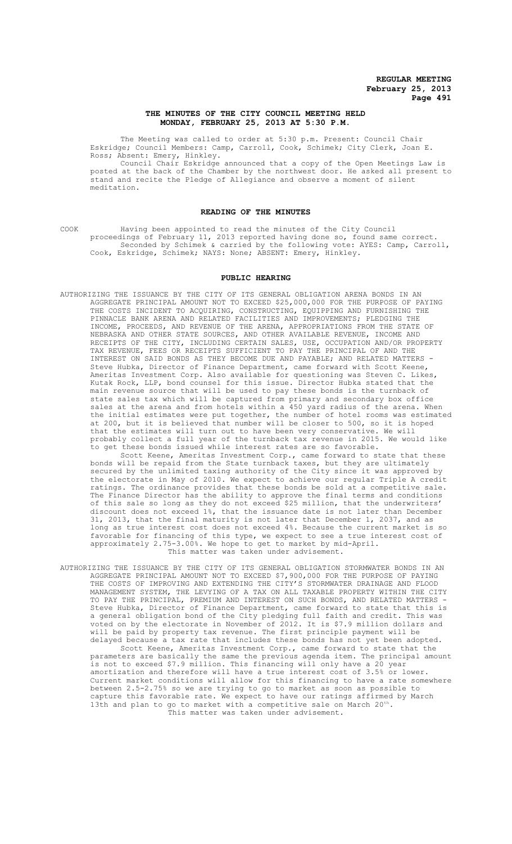# THE MINUTES OF THE CITY COUNCIL MEETING HELD **MONDAY, FEBRUARY 25, 2013 AT 5:30 P.M.**

The Meeting was called to order at 5:30 p.m. Present: Council Chair Eskridge; Council Members: Camp, Carroll, Cook, Schimek; City Clerk, Joan E. Ross; Absent: Emery, Hinkley.

Council Chair Eskridge announced that a copy of the Open Meetings Law is posted at the back of the Chamber by the northwest door. He asked all present to stand and recite the Pledge of Allegiance and observe a moment of silent meditation.

#### **READING OF THE MINUTES**

COOK Having been appointed to read the minutes of the City Council proceedings of February 11, 2013 reported having done so, found same correct. Seconded by Schimek & carried by the following vote: AYES: Camp, Carroll, Cook, Eskridge, Schimek; NAYS: None; ABSENT: Emery, Hinkley.

#### **PUBLIC HEARING**

AUTHORIZING THE ISSUANCE BY THE CITY OF ITS GENERAL OBLIGATION ARENA BONDS IN AN AGGREGATE PRINCIPAL AMOUNT NOT TO EXCEED \$25,000,000 FOR THE PURPOSE OF PAYING THE COSTS INCIDENT TO ACQUIRING, CONSTRUCTING, EQUIPPING AND FURNISHING THE PINNACLE BANK ARENA AND RELATED FACILITIES AND IMPROVEMENTS; PLEDGING THE INCOME, PROCEEDS, AND REVENUE OF THE ARENA, APPROPRIATIONS FROM THE STATE OF NEBRASKA AND OTHER STATE SOURCES, AND OTHER AVAILABLE REVENUE, INCOME AND RECEIPTS OF THE CITY, INCLUDING CERTAIN SALES, USE, OCCUPATION AND/OR PROPERTY TAX REVENUE, FEES OR RECEIPTS SUFFICIENT TO PAY THE PRINCIPAL OF AND THE INTEREST ON SAID BONDS AS THEY BECOME DUE AND PAYABLE; AND RELATED MATTERS - Steve Hubka, Director of Finance Department, came forward with Scott Keene, Ameritas Investment Corp. Also available for questioning was Steven C. Likes, Kutak Rock, LLP, bond counsel for this issue. Director Hubka stated that the main revenue source that will be used to pay these bonds is the turnback of state sales tax which will be captured from primary and secondary box office sales at the arena and from hotels within a 450 yard radius of the arena. When the initial estimates were put together, the number of hotel rooms was estimated at 200, but it is believed that number will be closer to 500, so it is hoped that the estimates will turn out to have been very conservative. We will probably collect a full year of the turnback tax revenue in 2015. We would like to get these bonds issued while interest rates are so favorable.

Scott Keene, Ameritas Investment Corp., came forward to state that these bonds will be repaid from the State turnback taxes, but they are ultimately secured by the unlimited taxing authority of the City since it was approved by the electorate in May of 2010. We expect to achieve our regular Triple A credit ratings. The ordinance provides that these bonds be sold at a competitive sale. The Finance Director has the ability to approve the final terms and conditions of this sale so long as they do not exceed \$25 million, that the underwriters' discount does not exceed  $1\frac{2}{7}$ , that the issuance date is not later than December 31, 2013, that the final maturity is not later that December 1, 2037, and as long as true interest cost does not exceed 4%. Because the current market is so favorable for financing of this type, we expect to see a true interest cost of approximately 2.75-3.00%. We hope to get to market by mid-April. This matter was taken under advisement.

AUTHORIZING THE ISSUANCE BY THE CITY OF ITS GENERAL OBLIGATION STORMWATER BONDS IN AN AGGREGATE PRINCIPAL AMOUNT NOT TO EXCEED \$7,900,000 FOR THE PURPOSE OF PAYING THE COSTS OF IMPROVING AND EXTENDING THE CITY'S STORMWATER DRAINAGE AND FLOOD MANAGEMENT SYSTEM, THE LEVYING OF A TAX ON ALL TAXABLE PROPERTY WITHIN THE CITY TO PAY THE PRINCIPAL, PREMIUM AND INTEREST ON SUCH BONDS, AND RELATED MATTERS - Steve Hubka, Director of Finance Department, came forward to state that this is a general obligation bond of the City pledging full faith and credit. This was voted on by the electorate in November of 2012. It is \$7.9 million dollars and will be paid by property tax revenue. The first principle payment will be delayed because a tax rate that includes these bonds has not yet been adopted. Scott Keene, Ameritas Investment Corp., came forward to state that the parameters are basically the same the previous agenda item. The principal amount .<br>is not to exceed \$7.9 million. This financing will only have a 20 year amortization and therefore will have a true interest cost of 3.5% or lower. Current market conditions will allow for this financing to have a rate somewhere between 2.5-2.75% so we are trying to go to market as soon as possible to

capture this favorable rate. We expect to have our ratings affirmed by March 13th and plan to go to market with a competitive sale on March  $20^{th}$ . This matter was taken under advisement.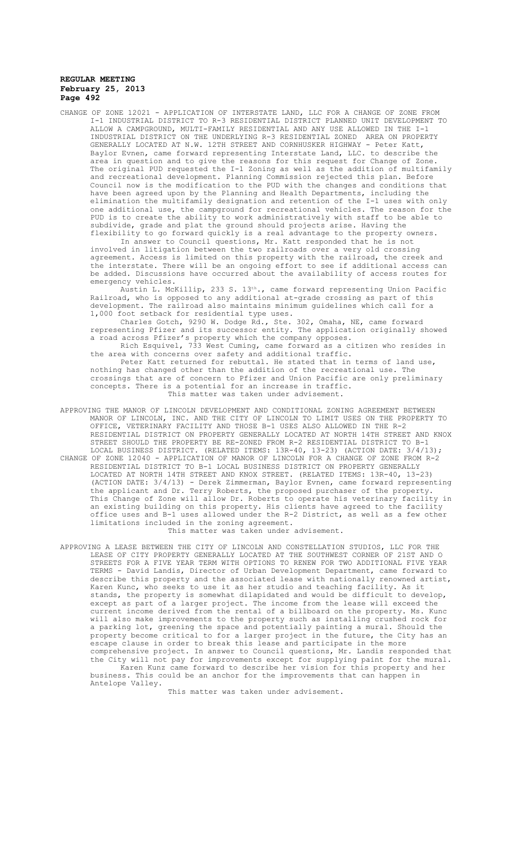CHANGE OF ZONE 12021 - APPLICATION OF INTERSTATE LAND, LLC FOR A CHANGE OF ZONE FROM I-1 INDUSTRIAL DISTRICT TO R-3 RESIDENTIAL DISTRICT PLANNED UNIT DEVELOPMENT TO ALLOW A CAMPGROUND, MULTI-FAMILY RESIDENTIAL AND ANY USE ALLOWED IN THE I-1 INDUSTRIAL DISTRICT ON THE UNDERLYING R-3 RESIDENTIAL ZONED AREA ON PROPERTY GENERALLY LOCATED AT N.W. 12TH STREET AND CORNHUSKER HIGHWAY - Peter Katt, Baylor Evnen, came forward representing Interstate Land, LLC. to describe the area in question and to give the reasons for this request for Change of Zone. The original PUD requested the I-1 Zoning as well as the addition of multifamily and recreational development. Planning Commission rejected this plan. Before Council now is the modification to the PUD with the changes and conditions that have been agreed upon by the Planning and Health Departments, including the elimination the multifamily designation and retention of the I-1 uses with only one additional use, the campground for recreational vehicles. The reason for the PUD is to create the ability to work administratively with staff to be able to subdivide, grade and plat the ground should projects arise. Having the flexibility to go forward quickly is a real advantage to the property owners.

In answer to Council questions, Mr. Katt responded that he is not involved in litigation between the two railroads over a very old crossing agreement. Access is limited on this property with the railroad, the creek and the interstate. There will be an ongoing effort to see if additional access can be added. Discussions have occurred about the availability of access routes for emergency vehicles.

Austin L. McKillip, 233 S. 13th., came forward representing Union Pacific Railroad, who is opposed to any additional at-grade crossing as part of this development. The railroad also maintains minimum guidelines which call for a 1,000 foot setback for residential type uses.

Charles Gotch, 9290 W. Dodge Rd., Ste. 302, Omaha, NE, came forward representing Pfizer and its successor entity. The application originally showed a road across Pfizer's property which the company opposes.

Rich Esquivel, 733 West Cuming, came forward as a citizen who resides in the area with concerns over safety and additional traffic.

Peter Katt returned for rebuttal. He stated that in terms of land use, nothing has changed other than the addition of the recreational use. The crossings that are of concern to Pfizer and Union Pacific are only preliminary concepts. There is a potential for an increase in traffic. This matter was taken under advisement.

- APPROVING THE MANOR OF LINCOLN DEVELOPMENT AND CONDITIONAL ZONING AGREEMENT BETWEEN MANOR OF LINCOLN, INC. AND THE CITY OF LINCOLN TO LIMIT USES ON THE PROPERTY TO OFFICE, VETERINARY FACILITY AND THOSE B-1 USES ALSO ALLOWED IN THE R-2 RESIDENTIAL DISTRICT ON PROPERTY GENERALLY LOCATED AT NORTH 14TH STREET AND KNOX STREET SHOULD THE PROPERTY BE RE-ZONED FROM R-2 RESIDENTIAL DISTRICT TO B-1 LOCAL BUSINESS DISTRICT. (RELATED ITEMS: 13R-40, 13-23) (ACTION DATE: 3/4/13); CHANGE OF ZONE 12040 - APPLICATION OF MANOR OF LINCOLN FOR A CHANGE OF ZONE FROM R-2 RESIDENTIAL DISTRICT TO B-1 LOCAL BUSINESS DISTRICT ON PROPERTY GENERALLY
- LOCATED AT NORTH 14TH STREET AND KNOX STREET. (RELATED ITEMS: 13R-40, 13-23) (ACTION DATE: 3/4/13) - Derek Zimmerman, Baylor Evnen, came forward representing the applicant and Dr. Terry Roberts, the proposed purchaser of the property. This Change of Zone will allow Dr. Roberts to operate his veterinary facility in an existing building on this property. His clients have agreed to the facility office uses and B-1 uses allowed under the R-2 District, as well as a few other limitations included in the zoning agreement. This matter was taken under advisement.
- APPROVING A LEASE BETWEEN THE CITY OF LINCOLN AND CONSTELLATION STUDIOS, LLC FOR THE LEASE OF CITY PROPERTY GENERALLY LOCATED AT THE SOUTHWEST CORNER OF 21ST AND O STREETS FOR A FIVE YEAR TERM WITH OPTIONS TO RENEW FOR TWO ADDITIONAL FIVE YEAR TERMS - David Landis, Director of Urban Development Department, came forward to describe this property and the associated lease with nationally renowned artist, Karen Kunc, who seeks to use it as her studio and teaching facility. As it stands, the property is somewhat dilapidated and would be difficult to develop, except as part of a larger project. The income from the lease will exceed the current income derived from the rental of a billboard on the property. Ms. Kunc will also make improvements to the property such as installing crushed rock for a parking lot, greening the space and potentially painting a mural. Should the property become critical to for a larger project in the future, the City has an escape clause in order to break this lease and participate in the more comprehensive project. In answer to Council questions, Mr. Landis responded that the City will not pay for improvements except for supplying paint for the mural. Karen Kunz came forward to describe her vision for this property and her business. This could be an anchor for the improvements that can happen in

This matter was taken under advisement.

Antelope Valley.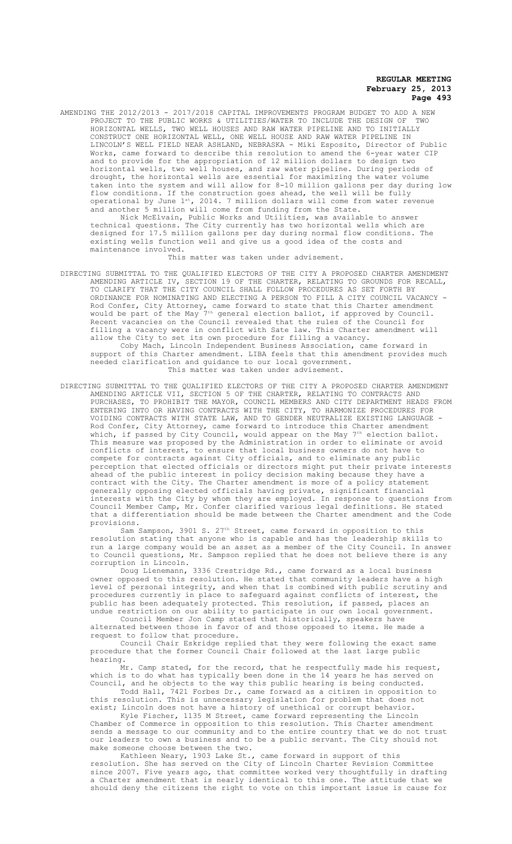AMENDING THE 2012/2013 - 2017/2018 CAPITAL IMPROVEMENTS PROGRAM BUDGET TO ADD A NEW<br>PROJECT TO THE PUBLIC WORKS & UTILITIES/WATER TO INCLUDE THE DESIGN OF TWO PROJECT TO THE PUBLIC WORKS & UTILITIES/WATER TO INCLUDE THE DESIGN OF HORIZONTAL WELLS, TWO WELL HOUSES AND RAW WATER PIPELINE AND TO INITIALLY CONSTRUCT ONE HORIZONTAL WELL, ONE WELL HOUSE AND RAW WATER PIPELINE IN LINCOLN'S WELL FIELD NEAR ASHLAND, NEBRASKA - Miki Esposito, Director of Public Works, came forward to describe this resolution to amend the 6-year water CIP and to provide for the appropriation of 12 million dollars to design two horizontal wells, two well houses, and raw water pipeline. During periods of drought, the horizontal wells are essential for maximizing the water volume taken into the system and will allow for 8-10 million gallons per day during low flow conditions. If the construction goes ahead, the well will be fully operational by June 1st, 2014. 7 million dollars will come from water revenue and another 5 million will come from funding from the State.

Nick McElvain, Public Works and Utilities, was available to answer technical questions. The City currently has two horizontal wells which are designed for 17.5 million gallons per day during normal flow conditions. The existing wells function well and give us a good idea of the costs and maintenance involved.

This matter was taken under advisement.

DIRECTING SUBMITTAL TO THE QUALIFIED ELECTORS OF THE CITY A PROPOSED CHARTER AMENDMENT AMENDING ARTICLE IV, SECTION 19 OF THE CHARTER, RELATING TO GROUNDS FOR RECALL, TO CLARIFY THAT THE CITY COUNCIL SHALL FOLLOW PROCEDURES AS SET FORTH BY ORDINANCE FOR NOMINATING AND ELECTING A PERSON TO FILL A CITY COUNCIL VACANCY Rod Confer, City Attorney, came forward to state that this Charter amendment would be part of the May 7<sup>th</sup> general election ballot, if approved by Council. Recent vacancies on the Council revealed that the rules of the Council for filling a vacancy were in conflict with Sate law. This Charter amendment will allow the City to set its own procedure for filling a vacancy.

Coby Mach, Lincoln Independent Business Association, came forward in support of this Charter amendment. LIBA feels that this amendment provides much needed clarification and guidance to our local government. This matter was taken under advisement.

DIRECTING SUBMITTAL TO THE QUALIFIED ELECTORS OF THE CITY A PROPOSED CHARTER AMENDMENT AMENDING ARTICLE VII, SECTION 5 OF THE CHARTER, RELATING TO CONTRACTS AND PURCHASES, TO PROHIBIT THE MAYOR, COUNCIL MEMBERS AND CITY DEPARTMENT HEADS FROM ENTERING INTO OR HAVING CONTRACTS WITH THE CITY, TO HARMONIZE PROCEDURES FOR VOIDING CONTRACTS WITH STATE LAW, AND TO GENDER NEUTRALIZE EXISTING LANGUAGE - Rod Confer, City Attorney, came forward to introduce this Charter amendment which, if passed by City Council, would appear on the May  $7^\text{\tiny th}$  election ballot. This measure was proposed by the Administration in order to eliminate or avoid conflicts of interest, to ensure that local business owners do not have to compete for contracts against City officials, and to eliminate any public perception that elected officials or directors might put their private interests ahead of the public interest in policy decision making because they have a contract with the City. The Charter amendment is more of a policy statement generally opposing elected officials having private, significant financial interests with the City by whom they are employed. In response to questions from Council Member Camp, Mr. Confer clarified various legal definitions. He stated that a differentiation should be made between the Charter amendment and the Code provisions.

Sam Sampson, 3901 S.  $27<sup>th</sup>$  Street, came forward in opposition to this resolution stating that anyone who is capable and has the leadership skills to run a large company would be an asset as a member of the City Council. In answer to Council questions, Mr. Sampson replied that he does not believe there is any corruption in Lincoln.

Doug Lienemann, 3336 Crestridge Rd., came forward as a local business owner opposed to this resolution. He stated that community leaders have a high level of personal integrity, and when that is combined with public scrutiny and procedures currently in place to safeguard against conflicts of interest, the public has been adequately protected. This resolution, if passed, places an undue restriction on our ability to participate in our own local government.

Council Member Jon Camp stated that historically, speakers have alternated between those in favor of and those opposed to items. He made a request to follow that procedure.

Council Chair Eskridge replied that they were following the exact same procedure that the former Council Chair followed at the last large public hearing.

Mr. Camp stated, for the record, that he respectfully made his request, which is to do what has typically been done in the 14 years he has served on Council, and he objects to the way this public hearing is being conducted. Todd Hall, 7421 Forbes Dr., came forward as a citizen in opposition to

this resolution. This is unnecessary legislation for problem that does not exist; Lincoln does not have a history of unethical or corrupt behavior.

Kyle Fischer, 1135 M Street, came forward representing the Lincoln Chamber of Commerce in opposition to this resolution. This Charter amendment sends a message to our community and to the entire country that we do not trust our leaders to own a business and to be a public servant. The City should not make someone choose between the two.

Kathleen Neary, 1903 Lake St., came forward in support of this resolution. She has served on the City of Lincoln Charter Revision Committee since 2007. Five years ago, that committee worked very thoughtfully in drafting a Charter amendment that is nearly identical to this one. The attitude that we should deny the citizens the right to vote on this important issue is cause for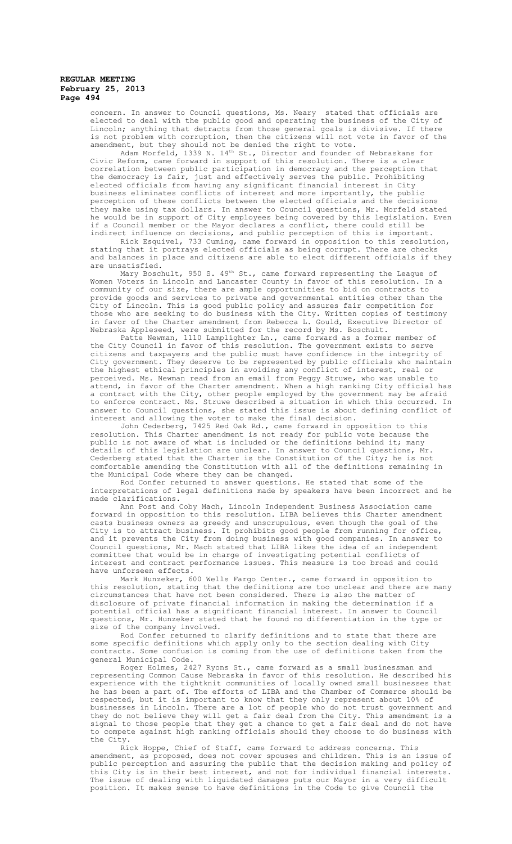concern. In answer to Council questions, Ms. Neary stated that officials are elected to deal with the public good and operating the business of the City of Lincoln; anything that detracts from those general goals is divisive. If there is not problem with corruption, then the citizens will not vote in favor of the amendment, but they should not be denied the right to vote.

Adam Morfeld, 1339 N.  $14^{\rm th}$  St., Director and founder of Nebraskans for Civic Reform, came forward in support of this resolution. There is a clear correlation between public participation in democracy and the perception that the democracy is fair, just and effectively serves the public. Prohibiting elected officials from having any significant financial interest in City business eliminates conflicts of interest and more importantly, the public perception of these conflicts between the elected officials and the decisions they make using tax dollars. In answer to Council questions, Mr. Morfeld stated he would be in support of City employees being covered by this legislation. Even if a Council member or the Mayor declares a conflict, there could still be indirect influence on decisions, and public perception of this is important.

Rick Esquivel, 733 Cuming, came forward in opposition to this resolution, stating that it portrays elected officials as being corrupt. There are checks and balances in place and citizens are able to elect different officials if they are unsatisfied.

Mary Boschult, 950 S. 49 $^{\rm th}$  St., came forward representing the League of Women Voters in Lincoln and Lancaster County in favor of this resolution. In a community of our size, there are ample opportunities to bid on contracts to provide goods and services to private and governmental entities other than the City of Lincoln. This is good public policy and assures fair competition for those who are seeking to do business with the City. Written copies of testimony in favor of the Charter amendment from Rebecca L. Gould, Executive Director of Nebraska Appleseed, were submitted for the record by Ms. Boschult.

Patte Newman, 1110 Lamplighter Ln., came forward as a former member of the City Council in favor of this resolution. The government exists to serve citizens and taxpayers and the public must have confidence in the integrity of City government. They deserve to be represented by public officials who maintain the highest ethical principles in avoiding any conflict of interest, real or perceived. Ms. Newman read from an email from Peggy Struwe, who was unable to attend, in favor of the Charter amendment. When a high ranking City official has a contract with the City, other people employed by the government may be afraid to enforce contract. Ms. Struwe described a situation in which this occurred. In answer to Council questions, she stated this issue is about defining conflict of interest and allowing the voter to make the final decision.

John Cederberg, 7425 Red Oak Rd., came forward in opposition to this resolution. This Charter amendment is not ready for public vote because the public is not aware of what is included or the definitions behind it; many details of this legislation are unclear. In answer to Council questions, Mr. Cederberg stated that the Charter is the Constitution of the City; he is not comfortable amending the Constitution with all of the definitions remaining in the Municipal Code where they can be changed.

Rod Confer returned to answer questions. He stated that some of the interpretations of legal definitions made by speakers have been incorrect and he made clarifications.

Ann Post and Coby Mach, Lincoln Independent Business Association came forward in opposition to this resolution. LIBA believes this Charter amendment casts business owners as greedy and unscrupulous, even though the goal of the City is to attract business. It prohibits good people from running for office, and it prevents the City from doing business with good companies. In answer to Council questions, Mr. Mach stated that LIBA likes the idea of an independent committee that would be in charge of investigating potential conflicts of interest and contract performance issues. This measure is too broad and could have unforseen effects.

Mark Hunzeker, 600 Wells Fargo Center., came forward in opposition to this resolution, stating that the definitions are too unclear and there are many circumstances that have not been considered. There is also the matter of disclosure of private financial information in making the determination if a potential official has a significant financial interest. In answer to Council questions, Mr. Hunzeker stated that he found no differentiation in the type or size of the company involved.

Rod Confer returned to clarify definitions and to state that there are some specific definitions which apply only to the section dealing with City contracts. Some confusion is coming from the use of definitions taken from the general Municipal Code.

Roger Holmes, 2427 Ryons St., came forward as a small businessman and representing Common Cause Nebraska in favor of this resolution. He described his experience with the tightknit communities of locally owned small businesses that he has been a part of. The efforts of LIBA and the Chamber of Commerce should be respected, but it is important to know that they only represent about 10% of businesses in Lincoln. There are a lot of people who do not trust government and they do not believe they will get a fair deal from the City. This amendment is a signal to those people that they get a chance to get a fair deal and do not have to compete against high ranking officials should they choose to do business with the City.

Rick Hoppe, Chief of Staff, came forward to address concerns. This amendment, as proposed, does not cover spouses and children. This is an issue of public perception and assuring the public that the decision making and policy of this City is in their best interest, and not for individual financial interests. The issue of dealing with liquidated damages puts our Mayor in a very difficult position. It makes sense to have definitions in the Code to give Council the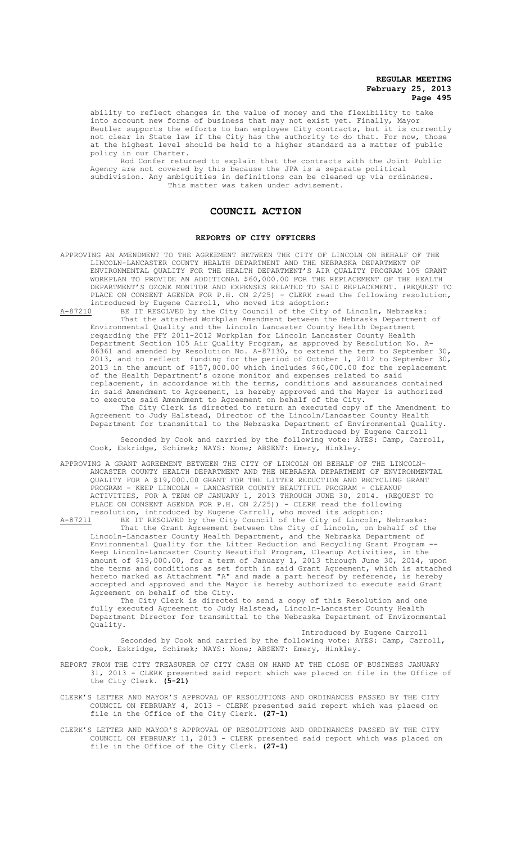ability to reflect changes in the value of money and the flexibility to take into account new forms of business that may not exist yet. Finally, Mayor Beutler supports the efforts to ban employee City contracts, but it is currently not clear in State law if the City has the authority to do that. For now, those at the highest level should be held to a higher standard as a matter of public policy in our Charter.

Rod Confer returned to explain that the contracts with the Joint Public Agency are not covered by this because the JPA is a separate political subdivision. Any ambiguities in definitions can be cleaned up via ordinance. This matter was taken under advisement.

# **COUNCIL ACTION**

#### **REPORTS OF CITY OFFICERS**

APPROVING AN AMENDMENT TO THE AGREEMENT BETWEEN THE CITY OF LINCOLN ON BEHALF OF THE LINCOLN-LANCASTER COUNTY HEALTH DEPARTMENT AND THE NEBRASKA DEPARTMENT OF ENVIRONMENTAL QUALITY FOR THE HEALTH DEPARTMENT'S AIR QUALITY PROGRAM 105 GRANT WORKPLAN TO PROVIDE AN ADDITIONAL \$60,000.00 FOR THE REPLACEMENT OF THE HEALTH DEPARTMENT'S OZONE MONITOR AND EXPENSES RELATED TO SAID REPLACEMENT. (REQUEST TO PLACE ON CONSENT AGENDA FOR P.H. ON 2/25) - CLERK read the following resolution, introduced by Eugene Carroll, who moved its adoption:

A-87210 BE IT RESOLVED by the City Council of the City of Lincoln, Nebraska: That the attached Workplan Amendment between the Nebraska Department of Environmental Quality and the Lincoln Lancaster County Health Department regarding the FFY 2011-2012 Workplan for Lincoln Lancaster County Health Department Section 105 Air Quality Program, as approved by Resolution No. A-86361 and amended by Resolution No. A-87130, to extend the term to September 30, 2013, and to reflect funding for the period of October 1, 2012 to September 30, 2013 in the amount of \$157,000.00 which includes \$60,000.00 for the replacement of the Health Department's ozone monitor and expenses related to said replacement, in accordance with the terms, conditions and assurances contained in said Amendment to Agreement, is hereby approved and the Mayor is authorized to execute said Amendment to Agreement on behalf of the City.

The City Clerk is directed to return an executed copy of the Amendment to Agreement to Judy Halstead, Director of the Lincoln/Lancaster County Health Department for transmittal to the Nebraska Department of Environmental Quality. Introduced by Eugene Carroll

Seconded by Cook and carried by the following vote: AYES: Camp, Carroll, Cook, Eskridge, Schimek; NAYS: None; ABSENT: Emery, Hinkley.

APPROVING A GRANT AGREEMENT BETWEEN THE CITY OF LINCOLN ON BEHALF OF THE LINCOLN-ANCASTER COUNTY HEALTH DEPARTMENT AND THE NEBRASKA DEPARTMENT OF ENVIRONMENTAL QUALITY FOR A \$19,000.00 GRANT FOR THE LITTER REDUCTION AND RECYCLING GRANT PROGRAM - KEEP LINCOLN - LANCASTER COUNTY BEAUTIFUL PROGRAM - CLEANUP ACTIVITIES, FOR A TERM OF JANUARY 1, 2013 THROUGH JUNE 30, 2014. (REQUEST TO PLACE ON CONSENT AGENDA FOR P.H. ON 2/25)) - CLERK read the following resolution, introduced by Eugene Carroll, who moved its adoption:

A-87211 BE IT RESOLVED by the City Council of the City of Lincoln, Nebraska: That the Grant Agreement between the City of Lincoln, on behalf of the Lincoln-Lancaster County Health Department, and the Nebraska Department of Environmental Quality for the Litter Reduction and Recycling Grant Program -- Keep Lincoln-Lancaster County Beautiful Program, Cleanup Activities, in the amount of \$19,000.00, for a term of January 1, 2013 through June 30, 2014, upon the terms and conditions as set forth in said Grant Agreement, which is attached hereto marked as Attachment "A" and made a part hereof by reference, is hereby accepted and approved and the Mayor is hereby authorized to execute said Grant Agreement on behalf of the City.

The City Clerk is directed to send a copy of this Resolution and one fully executed Agreement to Judy Halstead, Lincoln-Lancaster County Health Department Director for transmittal to the Nebraska Department of Environmental Quality.

Introduced by Eugene Carroll Seconded by Cook and carried by the following vote: AYES: Camp, Carroll, Cook, Eskridge, Schimek; NAYS: None; ABSENT: Emery, Hinkley.

- REPORT FROM THE CITY TREASURER OF CITY CASH ON HAND AT THE CLOSE OF BUSINESS JANUARY 31, 2013 - CLERK presented said report which was placed on file in the Office of the City Clerk. **(5-21)**
- CLERK'S LETTER AND MAYOR'S APPROVAL OF RESOLUTIONS AND ORDINANCES PASSED BY THE CITY COUNCIL ON FEBRUARY 4, 2013 - CLERK presented said report which was placed on file in the Office of the City Clerk. **(27-1)**
- CLERK'S LETTER AND MAYOR'S APPROVAL OF RESOLUTIONS AND ORDINANCES PASSED BY THE CITY COUNCIL ON FEBRUARY 11, 2013 - CLERK presented said report which was placed on file in the Office of the City Clerk. **(27-1)**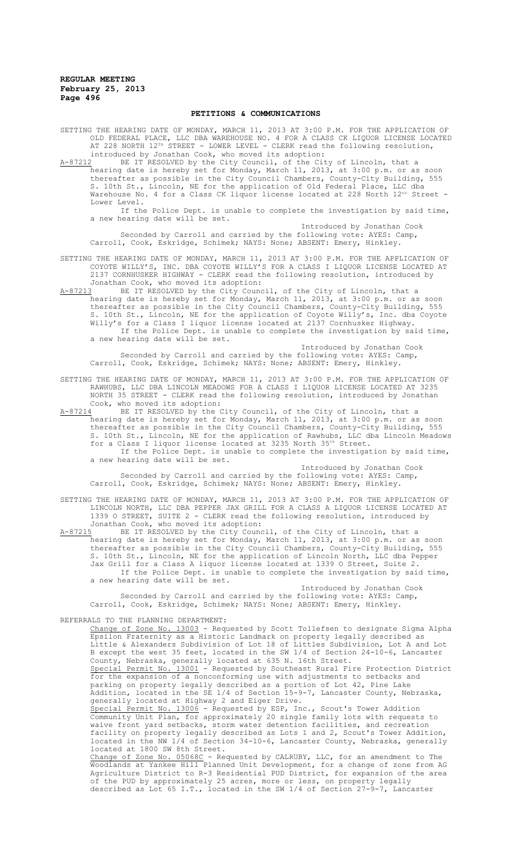#### **PETITIONS & COMMUNICATIONS**

SETTING THE HEARING DATE OF MONDAY, MARCH 11, 2013 AT 3:00 P.M. FOR THE APPLICATION OF OLD FEDERAL PLACE, LLC DBA WAREHOUSE NO. 4 FOR A CLASS CK LIQUOR LICENSE LOCATED AT 228 NORTH 12TH STREET - LOWER LEVEL - CLERK read the following resolution, introduced by Jonathan Cook, who moved its adoption:

A-87212 BE IT RESOLVED by the City Council, of the City of Lincoln, that a hearing date is hereby set for Monday, March 11, 2013, at 3:00 p.m. or as soon thereafter as possible in the City Council Chambers, County-City Building, 555 S. 10th St., Lincoln, NE for the application of Old Federal Place, LLC dba Warehouse No. 4 for a Class CK liquor license located at 228 North 12<sup>th</sup> Street -Lower Level.

If the Police Dept. is unable to complete the investigation by said time, a new hearing date will be set. Introduced by Jonathan Cook

Seconded by Carroll and carried by the following vote: AYES: Camp, Carroll, Cook, Eskridge, Schimek; NAYS: None; ABSENT: Emery, Hinkley.

SETTING THE HEARING DATE OF MONDAY, MARCH 11, 2013 AT 3:00 P.M. FOR THE APPLICATION OF COYOTE WILLY'S, INC. DBA COYOTE WILLY'S FOR A CLASS I LIQUOR LICENSE LOCATED AT 2137 CORNHUSKER HIGHWAY - CLERK read the following resolution, introduced by Jonathan Cook, who moved its adoption:

A-87213 BE IT RESOLVED by the City Council, of the City of Lincoln, that a hearing date is hereby set for Monday, March 11, 2013, at 3:00 p.m. or as soon thereafter as possible in the City Council Chambers, County-City Building, 555 10th St., Lincoln, NE for the application of Coyote Willy's, Inc. dba Coyote Willy's for a Class I liquor license located at 2137 Cornhusker Highway. If the Police Dept. is unable to complete the investigation by said time, a new hearing date will be set.

Introduced by Jonathan Cook Seconded by Carroll and carried by the following vote: AYES: Camp, Carroll, Cook, Eskridge, Schimek; NAYS: None; ABSENT: Emery, Hinkley.

SETTING THE HEARING DATE OF MONDAY, MARCH 11, 2013 AT 3:00 P.M. FOR THE APPLICATION OF RAWHUBS, LLC DBA LINCOLN MEADOWS FOR A CLASS I LIQUOR LICENSE LOCATED AT 3235 NORTH 35 STREET - CLERK read the following resolution, introduced by Jonathan Cook, who moved its adoption:

A-87214 BE IT RESOLVED by the City Council, of the City of Lincoln, that a hearing date is hereby set for Monday, March 11, 2013, at 3:00 p.m. or as soon thereafter as possible in the City Council Chambers, County-City Building, 555 S. 10th St., Lincoln, NE for the application of Rawhubs, LLC dba Lincoln Meadows for a Class I liquor license located at 3235 North 35th Street. If the Police Dept. is unable to complete the investigation by said time, a new hearing date will be set.

Introduced by Jonathan Cook Seconded by Carroll and carried by the following vote: AYES: Camp, Carroll, Cook, Eskridge, Schimek; NAYS: None; ABSENT: Emery, Hinkley.

SETTING THE HEARING DATE OF MONDAY, MARCH 11, 2013 AT 3:00 P.M. FOR THE APPLICATION OF LINCOLN NORTH, LLC DBA PEPPER JAX GRILL FOR A CLASS A LIQUOR LICENSE LOCATED AT 1339 O STREET, SUITE 2 - CLERK read the following resolution, introduced by Jonathan Cook, who moved its adoption:<br>A-87215 BE IT RESOLVED by the City Cound

BE IT RESOLVED by the City Council, of the City of Lincoln, that a hearing date is hereby set for Monday, March 11, 2013, at 3:00 p.m. or as soon thereafter as possible in the City Council Chambers, County-City Building, 555 S. 10th St., Lincoln, NE for the application of Lincoln North, LLC dba Pepper Jax Grill for a Class A liquor license located at 1339 O Street, Suite 2. If the Police Dept. is unable to complete the investigation by said time, a new hearing date will be set.

Introduced by Jonathan Cook Seconded by Carroll and carried by the following vote: AYES: Camp, Carroll, Cook, Eskridge, Schimek; NAYS: None; ABSENT: Emery, Hinkley.

REFERRALS TO THE PLANNING DEPARTMENT:

Change of Zone No. 13003 - Requested by Scott Tollefsen to designate Sigma Alpha Epsilon Fraternity as a Historic Landmark on property legally described as Little & Alexanders Subdivision of Lot 18 of Littles Subdivision, Lot A and Lot B except the west 35 feet, located in the SW 1/4 of Section 24-10-6, Lancaster County, Nebraska, generally located at 635 N. 16th Street. Special Permit No. 13001 - Requested by Southeast Rural Fire Protection District for the expansion of a nonconforming use with adjustments to setbacks and parking on property legally described as a portion of Lot 42, Pine Lake Addition, located in the SE 1/4 of Section 15-9-7, Lancaster County, Nebraska, generally located at Highway 2 and Eiger Drive. Special Permit No. 13006 - Requested by ESP, Inc., Scout's Tower Addition Community Unit Plan, for approximately 20 single family lots with requests to waive front yard setbacks, storm water detention facilities, and recreation facility on property legally described as Lots 1 and 2, Scout's Tower Addition, located in the NW 1/4 of Section 34-10-6, Lancaster County, Nebraska, generally located at 1800 SW 8th Street. Change of Zone No. 05068C - Requested by CALRUBY, LLC, for an amendment to The Woodlands at Yankee Hill Planned Unit Development, for a change of zone from AG Agriculture District to R-3 Residential PUD District, for expansion of the area of the PUD by approximately 25 acres, more or less, on property legally

described as Lot 65 I.T., located in the SW 1/4 of Section 27-9-7, Lancaster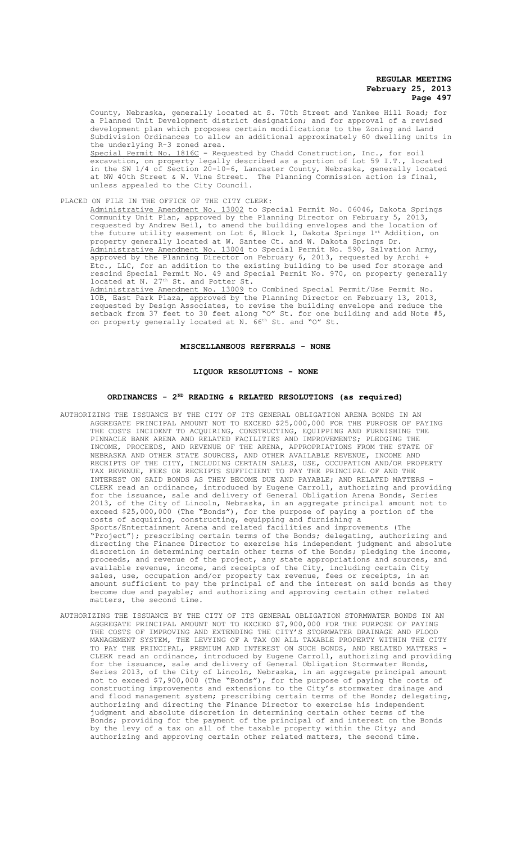County, Nebraska, generally located at S. 70th Street and Yankee Hill Road; for a Planned Unit Development district designation; and for approval of a revised development plan which proposes certain modifications to the Zoning and Land Subdivision Ordinances to allow an additional approximately 60 dwelling units in the underlying R-3 zoned area. Special Permit No. 1816C - Requested by Chadd Construction, Inc., for soil excavation, on property legally described as a portion of Lot 59 I.T., located in the SW 1/4 of Section 20-10-6, Lancaster County, Nebraska, generally located at NW 40th Street & W. Vine Street. The Planning Commission action is final, unless appealed to the City Council.

PLACED ON FILE IN THE OFFICE OF THE CITY CLERK: Administrative Amendment No. 13002 to Special Permit No. 06046, Dakota Springs Community Unit Plan, approved by the Planning Director on February 5, 2013, requested by Andrew Beil, to amend the building envelopes and the location of the future utility easement on Lot 6, Block 1, Dakota Springs 1st Addition, on property generally located at W. Santee Ct. and W. Dakota Springs Dr. Administrative Amendment No. 13004 to Special Permit No. 590, Salvation Army, approved by the Planning Director on February 6, 2013, requested by Archi + Etc., LLC, for an addition to the existing building to be used for storage and rescind Special Permit No. 49 and Special Permit No. 970, on property generally located at N. 27<sup>th</sup> St. and Potter St. Administrative Amendment No. 13009 to Combined Special Permit/Use Permit No. 10B, East Park Plaza, approved by the Planning Director on February 13, 2013, requested by Design Associates, to revise the building envelope and reduce the setback from 37 feet to 30 feet along "O" St. for one building and add Note #5,

#### **MISCELLANEOUS REFERRALS - NONE**

on property generally located at N. 66<sup>th</sup> St. and "O" St.

#### **LIQUOR RESOLUTIONS - NONE**

## **ORDINANCES - 2ND READING & RELATED RESOLUTIONS (as required)**

- AUTHORIZING THE ISSUANCE BY THE CITY OF ITS GENERAL OBLIGATION ARENA BONDS IN AN AGGREGATE PRINCIPAL AMOUNT NOT TO EXCEED \$25,000,000 FOR THE PURPOSE OF PAYING THE COSTS INCIDENT TO ACQUIRING, CONSTRUCTING, EQUIPPING AND FURNISHING THE PINNACLE BANK ARENA AND RELATED FACILITIES AND IMPROVEMENTS; PLEDGING THE INCOME, PROCEEDS, AND REVENUE OF THE ARENA, APPROPRIATIONS FROM THE STATE OF NEBRASKA AND OTHER STATE SOURCES, AND OTHER AVAILABLE REVENUE, INCOME AND RECEIPTS OF THE CITY, INCLUDING CERTAIN SALES, USE, OCCUPATION AND/OR PROPERTY TAX REVENUE, FEES OR RECEIPTS SUFFICIENT TO PAY THE PRINCIPAL OF AND THE INTEREST ON SAID BONDS AS THEY BECOME DUE AND PAYABLE; AND RELATED MATTERS - CLERK read an ordinance, introduced by Eugene Carroll, authorizing and providing for the issuance, sale and delivery of General Obligation Arena Bonds, Series 2013, of the City of Lincoln, Nebraska, in an aggregate principal amount not to exceed \$25,000,000 (The "Bonds"), for the purpose of paying a portion of the costs of acquiring, constructing, equipping and furnishing a Sports/Entertainment Arena and related facilities and improvements (The "Project"); prescribing certain terms of the Bonds; delegating, authorizing and directing the Finance Director to exercise his independent judgment and absolute discretion in determining certain other terms of the Bonds; pledging the income, proceeds, and revenue of the project, any state appropriations and sources, and available revenue, income, and receipts of the City, including certain City sales, use, occupation and/or property tax revenue, fees or receipts, in an amount sufficient to pay the principal of and the interest on said bonds as they become due and payable; and authorizing and approving certain other related matters, the second time.
- AUTHORIZING THE ISSUANCE BY THE CITY OF ITS GENERAL OBLIGATION STORMWATER BONDS IN AN AGGREGATE PRINCIPAL AMOUNT NOT TO EXCEED \$7,900,000 FOR THE PURPOSE OF PAYING THE COSTS OF IMPROVING AND EXTENDING THE CITY'S STORMWATER DRAINAGE AND FLOOD MANAGEMENT SYSTEM, THE LEVYING OF A TAX ON ALL TAXABLE PROPERTY WITHIN THE CITY TO PAY THE PRINCIPAL, PREMIUM AND INTEREST ON SUCH BONDS, AND RELATED MATTERS - CLERK read an ordinance, introduced by Eugene Carroll, authorizing and providing for the issuance, sale and delivery of General Obligation Stormwater Bonds, Series 2013, of the City of Lincoln, Nebraska, in an aggregate principal amount not to exceed \$7,900,000 (The "Bonds"), for the purpose of paying the costs of constructing improvements and extensions to the City's stormwater drainage and and flood management system; prescribing certain terms of the Bonds; delegating, authorizing and directing the Finance Director to exercise his independent judgment and absolute discretion in determining certain other terms of the Bonds; providing for the payment of the principal of and interest on the Bonds by the levy of a tax on all of the taxable property within the City; and authorizing and approving certain other related matters, the second time.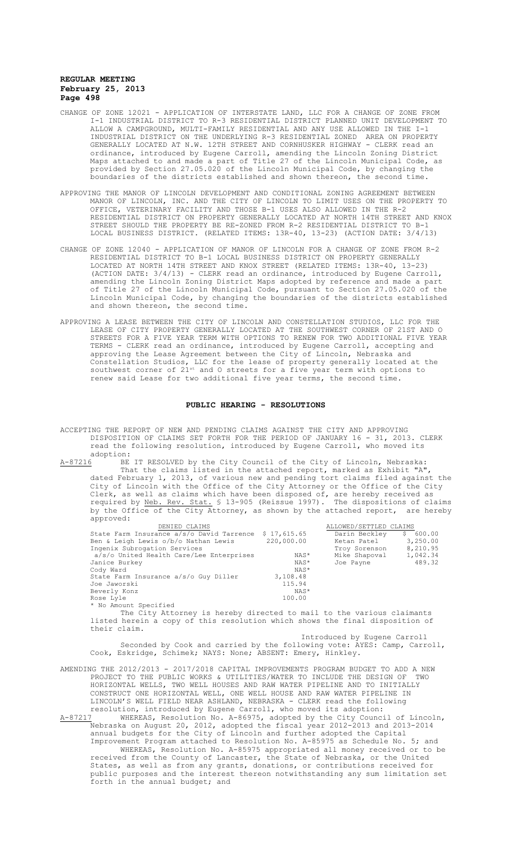- CHANGE OF ZONE 12021 APPLICATION OF INTERSTATE LAND, LLC FOR A CHANGE OF ZONE FROM I-1 INDUSTRIAL DISTRICT TO R-3 RESIDENTIAL DISTRICT PLANNED UNIT DEVELOPMENT TO ALLOW A CAMPGROUND, MULTI-FAMILY RESIDENTIAL AND ANY USE ALLOWED IN THE I-1 INDUSTRIAL DISTRICT ON THE UNDERLYING R-3 RESIDENTIAL ZONED AREA ON PROPERTY GENERALLY LOCATED AT N.W. 12TH STREET AND CORNHUSKER HIGHWAY - CLERK read an ordinance, introduced by Eugene Carroll, amending the Lincoln Zoning District Maps attached to and made a part of Title 27 of the Lincoln Municipal Code, as provided by Section 27.05.020 of the Lincoln Municipal Code, by changing the boundaries of the districts established and shown thereon, the second time.
- APPROVING THE MANOR OF LINCOLN DEVELOPMENT AND CONDITIONAL ZONING AGREEMENT BETWEEN MANOR OF LINCOLN, INC. AND THE CITY OF LINCOLN TO LIMIT USES ON THE PROPERTY TO OFFICE, VETERINARY FACILITY AND THOSE B-1 USES ALSO ALLOWED IN THE R-2 RESIDENTIAL DISTRICT ON PROPERTY GENERALLY LOCATED AT NORTH 14TH STREET AND KNOX STREET SHOULD THE PROPERTY BE RE-ZONED FROM R-2 RESIDENTIAL DISTRICT TO B-1 LOCAL BUSINESS DISTRICT. (RELATED ITEMS: 13R-40, 13-23) (ACTION DATE: 3/4/13)
- CHANGE OF ZONE 12040 APPLICATION OF MANOR OF LINCOLN FOR A CHANGE OF ZONE FROM R-2 RESIDENTIAL DISTRICT TO B-1 LOCAL BUSINESS DISTRICT ON PROPERTY GENERALLY LOCATED AT NORTH 14TH STREET AND KNOX STREET (RELATED ITEMS: 13R-40, 13-23) (ACTION DATE: 3/4/13) - CLERK read an ordinance, introduced by Eugene Carroll, amending the Lincoln Zoning District Maps adopted by reference and made a part of Title 27 of the Lincoln Municipal Code, pursuant to Section 27.05.020 of the Lincoln Municipal Code, by changing the boundaries of the districts established and shown thereon, the second time.
- APPROVING A LEASE BETWEEN THE CITY OF LINCOLN AND CONSTELLATION STUDIOS, LLC FOR THE LEASE OF CITY PROPERTY GENERALLY LOCATED AT THE SOUTHWEST CORNER OF 21ST AND O STREETS FOR A FIVE YEAR TERM WITH OPTIONS TO RENEW FOR TWO ADDITIONAL FIVE YEAR TERMS - CLERK read an ordinance, introduced by Eugene Carroll, accepting and approving the Lease Agreement between the City of Lincoln, Nebraska and Constellation Studios, LLC for the lease of property generally located at the southwest corner of 21<sup>st</sup> and O streets for a five year term with options to renew said Lease for two additional five year terms, the second time.

#### **PUBLIC HEARING - RESOLUTIONS**

ACCEPTING THE REPORT OF NEW AND PENDING CLAIMS AGAINST THE CITY AND APPROVING DISPOSITION OF CLAIMS SET FORTH FOR THE PERIOD OF JANUARY 16 - 31, 2013. CLERK read the following resolution, introduced by Eugene Carroll, who moved its

adoption:<br><u>A-87216</u> BE A-87216 BE IT RESOLVED by the City Council of the City of Lincoln, Nebraska: That the claims listed in the attached report, marked as Exhibit "A", dated February 1, 2013, of various new and pending tort claims filed against the City of Lincoln with the Office of the City Attorney or the Office of the City Clerk, as well as claims which have been disposed of, are hereby received as required by Neb. Rev. Stat. § 13-905 (Reissue 1997). The dispositions of claims by the Office of the City Attorney, as shown by the attached report, are hereby approved:

| DENIED CLAIMS                             |                                                                                                                                                                                                                                  | ALLOWED/SETTLED CLAIMS |              |
|-------------------------------------------|----------------------------------------------------------------------------------------------------------------------------------------------------------------------------------------------------------------------------------|------------------------|--------------|
| State Farm Insurance a/s/o David Tarrence | \$17,615.65                                                                                                                                                                                                                      | Darin Beckley          | 600.00<br>S. |
| Ben & Leigh Lewis o/b/o Nathan Lewis      | 220,000.00                                                                                                                                                                                                                       | Ketan Patel            | 3,250.00     |
| Ingenix Subrogation Services              |                                                                                                                                                                                                                                  | Troy Sorenson          | 8,210.95     |
| a/s/o United Health Care/Lee Enterprises  | NAS*                                                                                                                                                                                                                             | Mike Shapoval          | 1,042.34     |
| Janice Burkey                             | NAS*                                                                                                                                                                                                                             | Joe Payne              | 489.32       |
| Cody Ward                                 | NAS*                                                                                                                                                                                                                             |                        |              |
| State Farm Insurance a/s/o Guy Diller     | 3,108.48                                                                                                                                                                                                                         |                        |              |
| Joe Jaworski                              | 115.94                                                                                                                                                                                                                           |                        |              |
| Beverly Konz                              | NAS*                                                                                                                                                                                                                             |                        |              |
| Rose Lyle                                 | 100.00                                                                                                                                                                                                                           |                        |              |
| * No Amount Specified                     |                                                                                                                                                                                                                                  |                        |              |
|                                           | $\mathbf{r}$ , and the set of the set of the set of the set of the set of the set of the set of the set of the set of the set of the set of the set of the set of the set of the set of the set of the set of the set of the set |                        |              |

The City Attorney is hereby directed to mail to the various claimants listed herein a copy of this resolution which shows the final disposition of their claim.

Introduced by Eugene Carroll Seconded by Cook and carried by the following vote: AYES: Camp, Carroll, Cook, Eskridge, Schimek; NAYS: None; ABSENT: Emery, Hinkley.

AMENDING THE 2012/2013 - 2017/2018 CAPITAL IMPROVEMENTS PROGRAM BUDGET TO ADD A NEW PROJECT TO THE PUBLIC WORKS & UTILITIES/WATER TO INCLUDE THE DESIGN OF TWO HORIZONTAL WELLS, TWO WELL HOUSES AND RAW WATER PIPELINE AND TO INITIALLY CONSTRUCT ONE HORIZONTAL WELL, ONE WELL HOUSE AND RAW WATER PIPELINE IN LINCOLN'S WELL FIELD NEAR ASHLAND, NEBRASKA - CLERK read the following

resolution, introduced by Eugene Carroll, who moved its adoption:<br>A-87217 WHEREAS, Resolution No. A-86975, adopted by the City Counci WHEREAS, Resolution No. A-86975, adopted by the City Council of Lincoln, Nebraska on August 20, 2012, adopted the fiscal year 2012-2013 and 2013-2014 annual budgets for the City of Lincoln and further adopted the Capital

Improvement Program attached to Resolution No. A-85975 as Schedule No. 5; and WHEREAS, Resolution No. A-85975 appropriated all money received or to be received from the County of Lancaster, the State of Nebraska, or the United States, as well as from any grants, donations, or contributions received for public purposes and the interest thereon notwithstanding any sum limitation set forth in the annual budget; and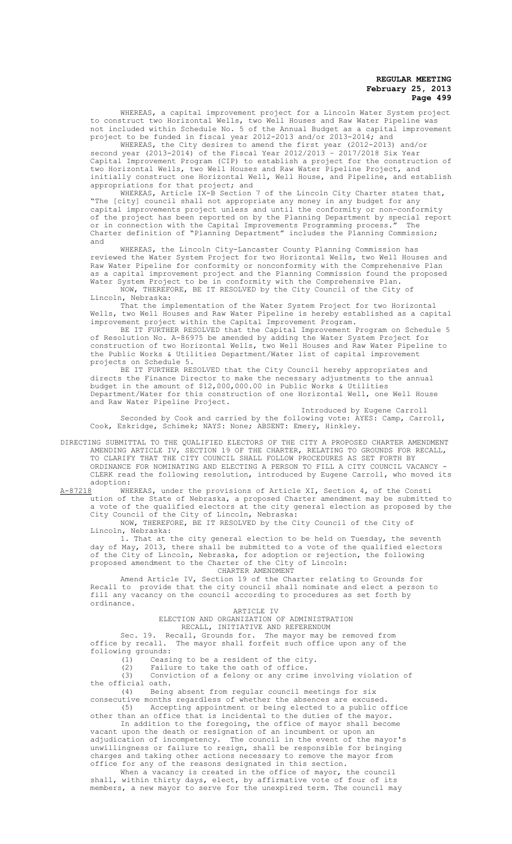WHEREAS, a capital improvement project for a Lincoln Water System project to construct two Horizontal Wells, two Well Houses and Raw Water Pipeline was not included within Schedule No. 5 of the Annual Budget as a capital improvement project to be funded in fiscal year 2012-2013 and/or 2013-2014; and

WHEREAS, the City desires to amend the first year (2012-2013) and/or second year (2013-2014) of the Fiscal Year 2012/2013 – 2017/2018 Six Year Capital Improvement Program (CIP) to establish a project for the construction of two Horizontal Wells, two Well Houses and Raw Water Pipeline Project, and initially construct one Horizontal Well, Well House, and Pipeline, and establish appropriations for that project; and

WHEREAS, Article IX-B Section 7 of the Lincoln City Charter states that, "The [city] council shall not appropriate any money in any budget for any capital improvements project unless and until the conformity or non-conformity of the project has been reported on by the Planning Department by special report or in connection with the Capital Improvements Programming process." The of the project has soon reperted on sy the rranning Department sy epithelia rep<br>or in connection with the Capital Improvements Programming process." The<br>Charter definition of "Planning Department" includes the Planning Com and

WHEREAS, the Lincoln City-Lancaster County Planning Commission has reviewed the Water System Project for two Horizontal Wells, two Well Houses and Raw Water Pipeline for conformity or nonconformity with the Comprehensive Plan as a capital improvement project and the Planning Commission found the proposed Water System Project to be in conformity with the Comprehensive Plan.

NOW, THEREFORE, BE IT RESOLVED by the City Council of the City of Lincoln, Nebraska:

That the implementation of the Water System Project for two Horizontal Wells, two Well Houses and Raw Water Pipeline is hereby established as a capital improvement project within the Capital Improvement Program.

BE IT FURTHER RESOLVED that the Capital Improvement Program on Schedule 5 of Resolution No. A-86975 be amended by adding the Water System Project for construction of two Horizontal Wells, two Well Houses and Raw Water Pipeline to the Public Works & Utilities Department/Water list of capital improvement projects on Schedule 5.

BE IT FURTHER RESOLVED that the City Council hereby appropriates and directs the Finance Director to make the necessary adjustments to the annual budget in the amount of \$12,000,000.00 in Public Works & Utilities Department/Water for this construction of one Horizontal Well, one Well House and Raw Water Pipeline Project.

Introduced by Eugene Carroll

Seconded by Cook and carried by the following vote: AYES: Camp, Carroll, Cook, Eskridge, Schimek; NAYS: None; ABSENT: Emery, Hinkley.

DIRECTING SUBMITTAL TO THE QUALIFIED ELECTORS OF THE CITY A PROPOSED CHARTER AMENDMENT AMENDING ARTICLE IV, SECTION 19 OF THE CHARTER, RELATING TO GROUNDS FOR RECALL, TO CLARIFY THAT THE CITY COUNCIL SHALL FOLLOW PROCEDURES AS SET FORTH BY ORDINANCE FOR NOMINATING AND ELECTING A PERSON TO FILL A CITY COUNCIL VACANCY - CLERK read the following resolution, introduced by Eugene Carroll, who moved its adoption:<br><u>A-87218</u> WHE

A-87218 WHEREAS, under the provisions of Article XI, Section 4, of the Consti ution of the State of Nebraska, a proposed Charter amendment may be submitted to a vote of the qualified electors at the city general election as proposed by the City Council of the City of Lincoln, Nebraska:

NOW, THEREFORE, BE IT RESOLVED by the City Council of the City of Lincoln, Nebraska:

1. That at the city general election to be held on Tuesday, the seventh day of May, 2013, there shall be submitted to a vote of the qualified electors of the City of Lincoln, Nebraska, for adoption or rejection, the following proposed amendment to the Charter of the City of Lincoln:

# CHARTER AMENDMENT

Amend Article IV, Section 19 of the Charter relating to Grounds for Recall to provide that the city council shall nominate and elect a person to fill any vacancy on the council according to procedures as set forth by ordinance.

#### ARTICLE IV

## ELECTION AND ORGANIZATION OF ADMINISTRATION RECALL, INITIATIVE AND REFERENDUM

Sec. 19. Recall, Grounds for. The mayor may be removed from office by recall. The mayor shall forfeit such office upon any of the following grounds:

(1) Ceasing to be a resident of the city.

(2) Failure to take the oath of office.

(3) Conviction of a felony or any crime involving violation of the official oath.

(4) Being absent from regular council meetings for six consecutive months regardless of whether the absences are excused. (5) Accepting appointment or being elected to a public office

other than an office that is incidental to the duties of the mayor. In addition to the foregoing, the office of mayor shall become

vacant upon the death or resignation of an incumbent or upon an adjudication of incompetency. The council in the event of the mayor's unwillingness or failure to resign, shall be responsible for bringing charges and taking other actions necessary to remove the mayor from office for any of the reasons designated in this section.

When a vacancy is created in the office of mayor, the council shall, within thirty days, elect, by affirmative vote of four of its members, a new mayor to serve for the unexpired term. The council may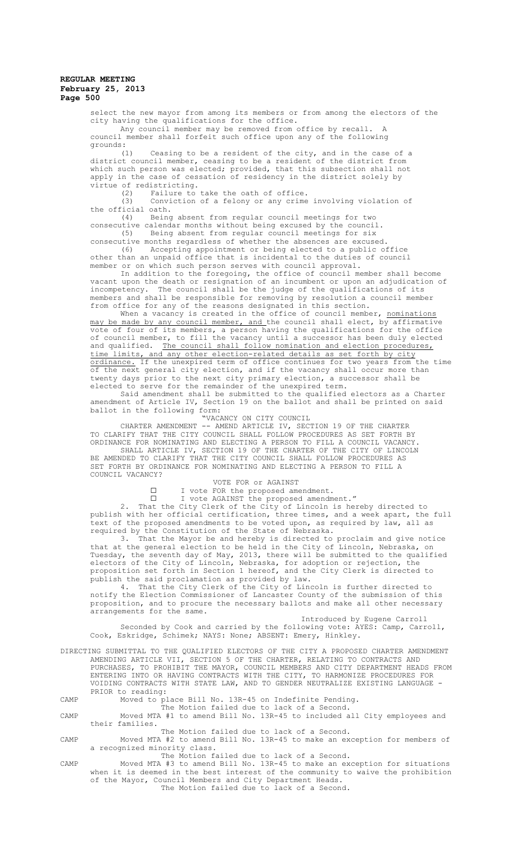select the new mayor from among its members or from among the electors of the city having the qualifications for the office.

Any council member may be removed from office by recall. A council member shall forfeit such office upon any of the following

grounds: Ceasing to be a resident of the city, and in the case of a district council member, ceasing to be a resident of the district from which such person was elected; provided, that this subsection shall not apply in the case of cessation of residency in the district solely by virtue of redistricting.<br>(2) Failure to

(2) Failure to take the oath of office.<br>(3) Conviction of a felony or any crime

Conviction of a felony or any crime involving violation of the official oath.

(4) Being absent from regular council meetings for two consecutive calendar months without being excused by the council.<br>(5) Being absent from regular council meetings for six

Being absent from regular council meetings for six consecutive months regardless of whether the absences are excused.

(6) Accepting appointment or being elected to a public office other than an unpaid office that is incidental to the duties of council member or on which such person serves with council approval.

In addition to the foregoing, the office of council member shall become vacant upon the death or resignation of an incumbent or upon an adjudication of incompetency. The council shall be the judge of the qualifications of its The council shall be the judge of the qualifications of its members and shall be responsible for removing by resolution a council member from office for any of the reasons designated in this section.

When a vacancy is created in the office of council member, nominations may be made by any council member, and the council shall elect, by affirmative vote of four of its members, a person having the qualifications for the office of council member, to fill the vacancy until a successor has been duly elected and qualified. The council shall follow nomination and election procedures,<br>time limits, and any other election-related details as set forth by city time limits, and any other election-related details as set forth by ordinance. If the unexpired term of office continues for two years from the time of the next general city election, and if the vacancy shall occur more than twenty days prior to the next city primary election, a successor shall be elected to serve for the remainder of the unexpired term.

Said amendment shall be submitted to the qualified electors as a Charter amendment of Article IV, Section 19 on the ballot and shall be printed on said ballot in the following form:

"VACANCY ON CITY COUNCIL

CHARTER AMENDMENT -- AMEND ARTICLE IV, SECTION 19 OF THE CHARTER TO CLARIFY THAT THE CITY COUNCIL SHALL FOLLOW PROCEDURES AS SET FORTH BY ORDINANCE FOR NOMINATING AND ELECTING A PERSON TO FILL A COUNCIL VACANCY. SHALL ARTICLE IV, SECTION 19 OF THE CHARTER OF THE CITY OF LINCOLN

BE AMENDED TO CLARIFY THAT THE CITY COUNCIL SHALL FOLLOW PROCEDURES AS SET FORTH BY ORDINANCE FOR NOMINATING AND ELECTING A PERSON TO FILL A COUNCIL VACANCY?

VOTE FOR or AGAINST

 $\square$  I vote FOR the proposed amendment.

 $\square$  I vote AGAINST the proposed amendment."

2. That the City Clerk of the City of Lincoln is hereby directed to publish with her official certification, three times, and a week apart, the full text of the proposed amendments to be voted upon, as required by law, all as required by the Constitution of the State of Nebraska.

3. That the Mayor be and hereby is directed to proclaim and give notice that at the general election to be held in the City of Lincoln, Nebraska, on Tuesday, the seventh day of May, 2013, there will be submitted to the qualified electors of the City of Lincoln, Nebraska, for adoption or rejection, the proposition set forth in Section 1 hereof, and the City Clerk is directed to publish the said proclamation as provided by law.

4. That the City Clerk of the City of Lincoln is further directed to notify the Election Commissioner of Lancaster County of the submission of this proposition, and to procure the necessary ballots and make all other necessary arrangements for the same.

Introduced by Eugene Carroll

Seconded by Cook and carried by the following vote: AYES: Camp, Carroll, Cook, Eskridge, Schimek; NAYS: None; ABSENT: Emery, Hinkley.

DIRECTING SUBMITTAL TO THE QUALIFIED ELECTORS OF THE CITY A PROPOSED CHARTER AMENDMENT AMENDING ARTICLE VII, SECTION 5 OF THE CHARTER, RELATING TO CONTRACTS AND PURCHASES, TO PROHIBIT THE MAYOR, COUNCIL MEMBERS AND CITY DEPARTMENT HEADS FROM ENTERING INTO OR HAVING CONTRACTS WITH THE CITY, TO HARMONIZE PROCEDURES FOR VOIDING CONTRACTS WITH STATE LAW, AND TO GENDER NEUTRALIZE EXISTING LANGUAGE - PRIOR to reading:

CAMP Moved to place Bill No. 13R-45 on Indefinite Pending.

The Motion failed due to lack of a Second. CAMP Moved MTA #1 to amend Bill No. 13R-45 to included all City employees and their families.

The Motion failed due to lack of a Second.

CAMP Moved MTA #2 to amend Bill No. 13R-45 to make an exception for members of a recognized minority class. The Motion failed due to lack of a Second.

CAMP Moved MTA #3 to amend Bill No. 13R-45 to make an exception for situations when it is deemed in the best interest of the community to waive the prohibition of the Mayor, Council Members and City Department Heads. The Motion failed due to lack of a Second.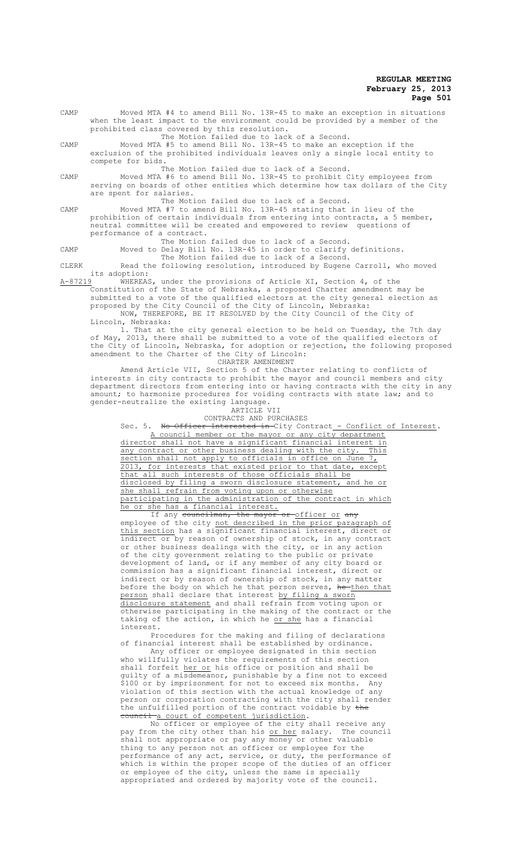| CAMP | Moved MTA #4 to amend Bill No. 13R-45 to make an exception in situations<br>when the least impact to the environment could be provided by a member of the<br>prohibited class covered by this resolution. |
|------|-----------------------------------------------------------------------------------------------------------------------------------------------------------------------------------------------------------|
|      | The Motion failed due to lack of a Second.                                                                                                                                                                |
| CAMP | Moved MTA #5 to amend Bill No. 13R-45 to make an exception if the                                                                                                                                         |
|      | exclusion of the prohibited individuals leaves only a single local entity to<br>compete for bids.                                                                                                         |
|      | The Motion failed due to lack of a Second.                                                                                                                                                                |
|      |                                                                                                                                                                                                           |
| CAMP | Moved MTA #6 to amend Bill No. 13R-45 to prohibit City employees from                                                                                                                                     |
|      | serving on boards of other entities which determine how tax dollars of the City                                                                                                                           |
|      | are spent for salaries.                                                                                                                                                                                   |
|      | The Motion failed due to lack of a Second.                                                                                                                                                                |
| CAMP | Moved MTA #7 to amend Bill No. 13R-45 stating that in lieu of the                                                                                                                                         |
|      | prohibition of certain individuals from entering into contracts, a 5 member,                                                                                                                              |
|      | neutral committee will be created and empowered to review questions of                                                                                                                                    |
|      | performance of a contract.                                                                                                                                                                                |
|      | The Motion failed due to lack of a Second.                                                                                                                                                                |
|      |                                                                                                                                                                                                           |

CAMP Moved to Delay Bill No. 13R-45 in order to clarify definitions. The Motion failed due to lack of a Second.

CLERK Read the following resolution, introduced by Eugene Carroll, who moved its adoption:<br>A-87219 WHEREAS

WHEREAS, under the provisions of Article XI, Section 4, of the Constitution of the State of Nebraska, a proposed Charter amendment may be

submitted to a vote of the qualified electors at the city general election as proposed by the City Council of the City of Lincoln, Nebraska: NOW, THEREFORE, BE IT RESOLVED by the City Council of the City of

Lincoln, Nebraska:

1. That at the city general election to be held on Tuesday, the 7th day of May, 2013, there shall be submitted to a vote of the qualified electors of the City of Lincoln, Nebraska, for adoption or rejection, the following proposed amendment to the Charter of the City of Lincoln: CHARTER AMENDMENT

Amend Article VII, Section 5 of the Charter relating to conflicts of interests in city contracts to prohibit the mayor and council members and city department directors from entering into or having contracts with the city in any amount; to harmonize procedures for voiding contracts with state law; and to gender-neutralize the existing language.

# ARTICLE VII

CONTRACTS AND PURCHASES

Sec. 5. No Officer Interested in City Contract - Conflict of Interest.

A council member or the mayor or any city department director shall not have a significant financial interest in any contract or other business dealing with the city. This section shall not apply to officials in office on June 7, 2013, for interests that existed prior to that date, except that all such interests of those officials shall be disclosed by filing a sworn disclosure statement, and he or she shall refrain from voting upon or otherwise participating in the administration of the contract in which he or she has a financial interest.

If any councilman, the mayor or officer or any employee of the city not described in the prior paragraph of this section has a significant financial interest, direct or indirect or by reason of ownership of stock, in any contract or other business dealings with the city, or in any action of the city government relating to the public or private development of land, or if any member of any city board or commission has a significant financial interest, direct or indirect or by reason of ownership of stock, in any matter before the body on which he that person serves, <del>he then that</del> person shall declare that interest by filing a sworn disclosure statement and shall refrain from voting upon or otherwise participating in the making of the contract or the taking of the action, in which he or she has a financial interest.

Procedures for the making and filing of declarations of financial interest shall be established by ordinance.

Any officer or employee designated in this section who willfully violates the requirements of this section shall forfeit her or his office or position and shall be guilty of a misdemeanor, punishable by a fine not to exceed \$100 or by imprisonment for not to exceed six months. Any violation of this section with the actual knowledge of any person or corporation contracting with the city shall render the unfulfilled portion of the contract voidable by the council a court of competent jurisdiction.

No officer or employee of the city shall receive any pay from the city other than his <u>or her</u> salary. The council shall not appropriate or pay any money or other valuable thing to any person not an officer or employee for the performance of any act, service, or duty, the performance of which is within the proper scope of the duties of an officer or employee of the city, unless the same is specially appropriated and ordered by majority vote of the council.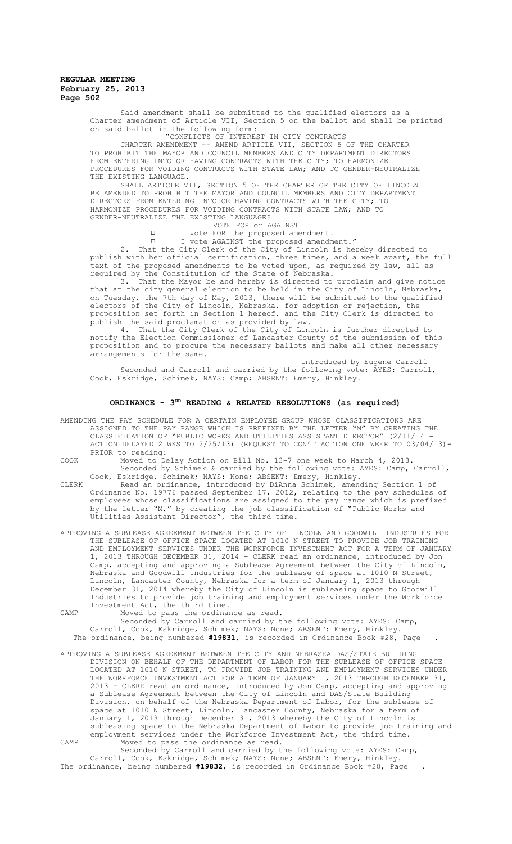Said amendment shall be submitted to the qualified electors as a Charter amendment of Article VII, Section 5 on the ballot and shall be printed on said ballot in the following form:

"CONFLICTS OF INTEREST IN CITY CONTRACTS

CHARTER AMENDMENT -- AMEND ARTICLE VII, SECTION 5 OF THE CHARTER TO PROHIBIT THE MAYOR AND COUNCIL MEMBERS AND CITY DEPARTMENT DIRECTORS FROM ENTERING INTO OR HAVING CONTRACTS WITH THE CITY; TO HARMONIZE PROCEDURES FOR VOIDING CONTRACTS WITH STATE LAW, AND TO GENDER-NEUTRALIZE THE EXISTING LANGUAGE.

SHALL ARTICLE VII, SECTION 5 OF THE CHARTER OF THE CITY OF LINCOLN BE AMENDED TO PROHIBIT THE MAYOR AND COUNCIL MEMBERS AND CITY DEPARTMENT DIRECTORS FROM ENTERING INTO OR HAVING CONTRACTS WITH THE CITY; TO HARMONIZE PROCEDURES FOR VOIDING CONTRACTS WITH STATE LAW; AND TO GENDER-NEUTRALIZE THE EXISTING LANGUAGE?

- VOTE FOR or AGAINST
- I vote FOR the proposed amendment.
- I vote AGAINST the proposed amendment."

2. That the City Clerk of the City of Lincoln is hereby directed to publish with her official certification, three times, and a week apart, the full text of the proposed amendments to be voted upon, as required by law, all as required by the Constitution of the State of Nebraska.

3. That the Mayor be and hereby is directed to proclaim and give notice that at the city general election to be held in the City of Lincoln, Nebraska, on Tuesday, the 7th day of May, 2013, there will be submitted to the qualified electors of the City of Lincoln, Nebraska, for adoption or rejection, the proposition set forth in Section 1 hereof, and the City Clerk is directed to publish the said proclamation as provided by law.

4. That the City Clerk of the City of Lincoln is further directed to notify the Election Commissioner of Lancaster County of the submission of this proposition and to procure the necessary ballots and make all other necessary .<br>arrangements for the same.

Introduced by Eugene Carroll Seconded and Carroll and carried by the following vote: AYES: Carroll, Cook, Eskridge, Schimek, NAYS: Camp; ABSENT: Emery, Hinkley.

## **ORDINANCE - 3RD READING & RELATED RESOLUTIONS (as required)**

AMENDING THE PAY SCHEDULE FOR A CERTAIN EMPLOYEE GROUP WHOSE CLASSIFICATIONS ARE ASSIGNED TO THE PAY RANGE WHICH IS PREFIXED BY THE LETTER "M" BY CREATING THE CLASSIFICATION OF "PUBLIC WORKS AND UTILITIES ASSISTANT DIRECTOR" (2/11/14 - ACTION DELAYED 2 WKS TO 2/25/13) (REQUEST TO CON'T ACTION ONE WEEK TO 03/04/13)- PRIOR to reading:

COOK Moved to Delay Action on Bill No. 13-7 one week to March 4, 2013. Seconded by Schimek & carried by the following vote: AYES: Camp, Carroll,

Cook, Eskridge, Schimek; NAYS: None; ABSENT: Emery, Hinkley. CLERK Read an ordinance, introduced by DiAnna Schimek, amending Section 1 of Ordinance No. 19776 passed September 17, 2012, relating to the pay schedules of employees whose classifications are assigned to the pay range which is prefixed by the letter "M," by creating the job classification of "Public Works and Utilities Assistant Director", the third time.

APPROVING A SUBLEASE AGREEMENT BETWEEN THE CITY OF LINCOLN AND GOODWILL INDUSTRIES FOR THE SUBLEASE OF OFFICE SPACE LOCATED AT 1010 N STREET TO PROVIDE JOB TRAINING AND EMPLOYMENT SERVICES UNDER THE WORKFORCE INVESTMENT ACT FOR A TERM OF JANUARY 1, 2013 THROUGH DECEMBER 31, 2014 - CLERK read an ordinance, introduced by Jon Camp, accepting and approving a Sublease Agreement between the City of Lincoln, Nebraska and Goodwill Industries for the sublease of space at 1010 N Street, Lincoln, Lancaster County, Nebraska for a term of January 1, 2013 through December 31, 2014 whereby the City of Lincoln is subleasing space to Goodwill Industries to provide job training and employment services under the Workforce Investment Act, the third time.

CAMP Moved to pass the ordinance as read.

Seconded by Carroll and carried by the following vote: AYES: Camp, Carroll, Cook, Eskridge, Schimek; NAYS: None; ABSENT: Emery, Hinkley. The ordinance, being numbered **#19831**, is recorded in Ordinance Book #28, Page .

APPROVING A SUBLEASE AGREEMENT BETWEEN THE CITY AND NEBRASKA DAS/STATE BUILDING DIVISION ON BEHALF OF THE DEPARTMENT OF LABOR FOR THE SUBLEASE OF OFFICE SPACE LOCATED AT 1010 N STREET, TO PROVIDE JOB TRAINING AND EMPLOYMENT SERVICES UNDER THE WORKFORCE INVESTMENT ACT FOR A TERM OF JANUARY 1, 2013 THROUGH DECEMBER 31, 2013 - CLERK read an ordinance, introduced by Jon Camp, accepting and approving a Sublease Agreement between the City of Lincoln and DAS/State Building Division, on behalf of the Nebraska Department of Labor, for the sublease of space at 1010 N Street, Lincoln, Lancaster County, Nebraska for a term of January 1, 2013 through December 31, 2013 whereby the City of Lincoln is subleasing space to the Nebraska Department of Labor to provide job training and employment services under the Workforce Investment Act, the third time. CAMP Moved to pass the ordinance as read.

Seconded by Carroll and carried by the following vote: AYES: Camp, Carroll, Cook, Eskridge, Schimek; NAYS: None; ABSENT: Emery, Hinkley. The ordinance, being numbered **#19832**, is recorded in Ordinance Book #28, Page .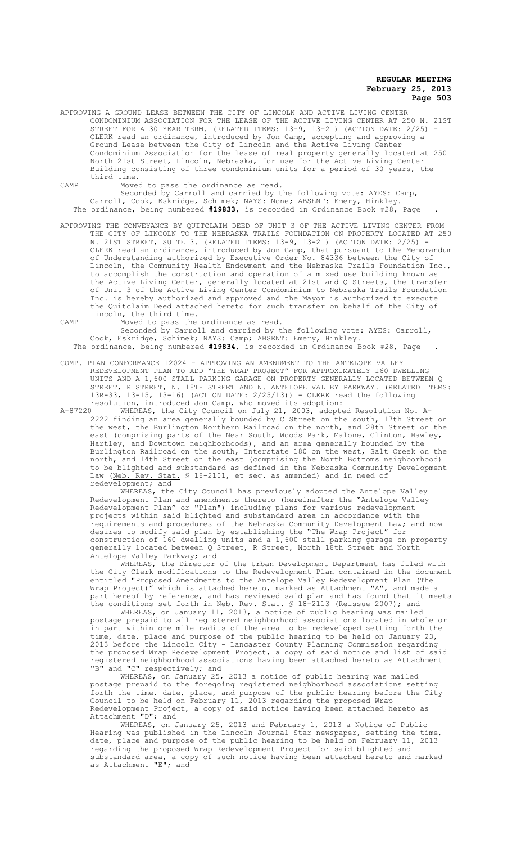APPROVING A GROUND LEASE BETWEEN THE CITY OF LINCOLN AND ACTIVE LIVING CENTER CONDOMINIUM ASSOCIATION FOR THE LEASE OF THE ACTIVE LIVING CENTER AT 250 N. 21ST STREET FOR A 30 YEAR TERM. (RELATED ITEMS: 13-9, 13-21) (ACTION DATE: 2/25) CLERK read an ordinance, introduced by Jon Camp, accepting and approving a Ground Lease between the City of Lincoln and the Active Living Center Condominium Association for the lease of real property generally located at 250 North 21st Street, Lincoln, Nebraska, for use for the Active Living Center Building consisting of three condominium units for a period of 30 years, the third time.

CAMP Moved to pass the ordinance as read.

Seconded by Carroll and carried by the following vote: AYES: Camp, Carroll, Cook, Eskridge, Schimek; NAYS: None; ABSENT: Emery, Hinkley. The ordinance, being numbered **#19833**, is recorded in Ordinance Book #28, Page .

APPROVING THE CONVEYANCE BY QUITCLAIM DEED OF UNIT 3 OF THE ACTIVE LIVING CENTER FROM THE CITY OF LINCOLN TO THE NEBRASKA TRAILS FOUNDATION ON PROPERTY LOCATED AT 250 N. 21ST STREET, SUITE 3. (RELATED ITEMS: 13-9, 13-21) (ACTION DATE: 2/25) - CLERK read an ordinance, introduced by Jon Camp, that pursuant to the Memorandum of Understanding authorized by Executive Order No. 84336 between the City of Lincoln, the Community Health Endowment and the Nebraska Trails Foundation Inc., to accomplish the construction and operation of a mixed use building known as the Active Living Center, generally located at 21st and Q Streets, the transfer of Unit 3 of the Active Living Center Condominium to Nebraska Trails Foundation Inc. is hereby authorized and approved and the Mayor is authorized to execute the Quitclaim Deed attached hereto for such transfer on behalf of the City of Lincoln, the third time.

CAMP Moved to pass the ordinance as read.

Seconded by Carroll and carried by the following vote: AYES: Carroll, Cook, Eskridge, Schimek; NAYS: Camp; ABSENT: Emery, Hinkley. The ordinance, being numbered **#19834**, is recorded in Ordinance Book #28, Page .

COMP. PLAN CONFORMANCE 12024 – APPROVING AN AMENDMENT TO THE ANTELOPE VALLEY REDEVELOPMENT PLAN TO ADD "THE WRAP PROJECT" FOR APPROXIMATELY 160 DWELLING UNITS AND A 1,600 STALL PARKING GARAGE ON PROPERTY GENERALLY LOCATED BETWEEN Q STREET, R STREET, N. 18TH STREET AND N. ANTELOPE VALLEY PARKWAY. (RELATED ITEMS: 13R-33, 13-15, 13-16) (ACTION DATE: 2/25/13)) - CLERK read the following resolution, introduced Jon Camp, who moved its adoption:

A-87220 WHEREAS, the City Council on July 21, 2003, adopted Resolution No. A-2222 finding an area generally bounded by C Street on the south, 17th Street on the west, the Burlington Northern Railroad on the north, and 28th Street on the east (comprising parts of the Near South, Woods Park, Malone, Clinton, Hawley, Hartley, and Downtown neighborhoods), and an area generally bounded by the Burlington Railroad on the south, Interstate 180 on the west, Salt Creek on the north, and 14th Street on the east (comprising the North Bottoms neighborhood) to be blighted and substandard as defined in the Nebraska Community Development Law (Neb. Rev. Stat. § 18-2101, et seq. as amended) and in need of redevelopment; and

WHEREAS, the City Council has previously adopted the Antelope Valley Redevelopment Plan and amendments thereto (hereinafter the "Antelope Valley Redevelopment Plan" or "Plan") including plans for various redevelopment projects within said blighted and substandard area in accordance with the requirements and procedures of the Nebraska Community Development Law; and now desires to modify said plan by establishing the "The Wrap Project" for construction of 160 dwelling units and a 1,600 stall parking garage on property generally located between Q Street, R Street, North 18th Street and North Antelope Valley Parkway; and

WHEREAS, the Director of the Urban Development Department has filed with the City Clerk modifications to the Redevelopment Plan contained in the document entitled "Proposed Amendments to the Antelope Valley Redevelopment Plan (The Wrap Project)" which is attached hereto, marked as Attachment "A", and made a part hereof by reference, and has reviewed said plan and has found that it meets the conditions set forth in Neb. Rev. Stat. § 18-2113 (Reissue 2007); and

WHEREAS, on January 11, 2013, a notice of public hearing was mailed postage prepaid to all registered neighborhood associations located in whole or in part within one mile radius of the area to be redeveloped setting forth the time, date, place and purpose of the public hearing to be held on January 23, 2013 before the Lincoln City - Lancaster County Planning Commission regarding the proposed Wrap Redevelopment Project, a copy of said notice and list of said registered neighborhood associations having been attached hereto as Attachment "B" and "C" respectively; and

WHEREAS, on January 25, 2013 a notice of public hearing was mailed postage prepaid to the foregoing registered neighborhood associations setting forth the time, date, place, and purpose of the public hearing before the City Council to be held on February 11, 2013 regarding the proposed Wrap Redevelopment Project, a copy of said notice having been attached hereto as Attachment "D"; and

WHEREAS, on January 25, 2013 and February 1, 2013 a Notice of Public Hearing was published in the Lincoln Journal Star newspaper, setting the time, date, place and purpose of the public hearing to be held on February 11, 2013 regarding the proposed Wrap Redevelopment Project for said blighted and substandard area, a copy of such notice having been attached hereto and marked as Attachment "E"; and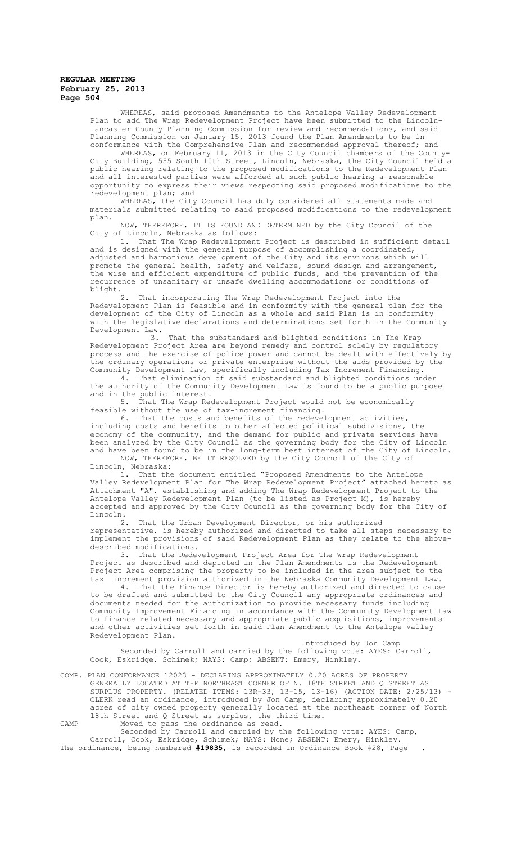WHEREAS, said proposed Amendments to the Antelope Valley Redevelopment Plan to add The Wrap Redevelopment Project have been submitted to the Lincoln-Lancaster County Planning Commission for review and recommendations, and said Planning Commission on January 15, 2013 found the Plan Amendments to be in conformance with the Comprehensive Plan and recommended approval thereof; and

WHEREAS, on February 11, 2013 in the City Council chambers of the County-City Building, 555 South 10th Street, Lincoln, Nebraska, the City Council held a public hearing relating to the proposed modifications to the Redevelopment Plan and all interested parties were afforded at such public hearing a reasonable opportunity to express their views respecting said proposed modifications to the redevelopment plan; and

WHEREAS, the City Council has duly considered all statements made and materials submitted relating to said proposed modifications to the redevelopment plan.

NOW, THEREFORE, IT IS FOUND AND DETERMINED by the City Council of the City of Lincoln, Nebraska as follows:

1. That The Wrap Redevelopment Project is described in sufficient detail and is designed with the general purpose of accomplishing a coordinated, adjusted and harmonious development of the City and its environs which will promote the general health, safety and welfare, sound design and arrangement, the wise and efficient expenditure of public funds, and the prevention of the recurrence of unsanitary or unsafe dwelling accommodations or conditions of blight.<br> $\frac{2}{3}$ .

That incorporating The Wrap Redevelopment Project into the Redevelopment Plan is feasible and in conformity with the general plan for the development of the City of Lincoln as a whole and said Plan is in conformity with the legislative declarations and determinations set forth in the Community Development Law.<br>3.

That the substandard and blighted conditions in The Wrap Redevelopment Project Area are beyond remedy and control solely by regulatory process and the exercise of police power and cannot be dealt with effectively by the ordinary operations or private enterprise without the aids provided by the Community Development law, specifically including Tax Increment Financing.

4. That elimination of said substandard and blighted conditions under the authority of the Community Development Law is found to be a public purpose and in the public interest.

5. That The Wrap Redevelopment Project would not be economically feasible without the use of tax-increment financing.

6. That the costs and benefits of the redevelopment activities, including costs and benefits to other affected political subdivisions, the economy of the community, and the demand for public and private services have been analyzed by the City Council as the governing body for the City of Lincoln and have been found to be in the long-term best interest of the City of Lincoln. NOW, THEREFORE, BE IT RESOLVED by the City Council of the City of

Lincoln, Nebraska: 1. That the document entitled "Proposed Amendments to the Antelope

Valley Redevelopment Plan for The Wrap Redevelopment Project" attached hereto as Attachment "A", establishing and adding The Wrap Redevelopment Project to the Antelope Valley Redevelopment Plan (to be listed as Project M), is hereby accepted and approved by the City Council as the governing body for the City of Lincoln.<br>2.

That the Urban Development Director, or his authorized representative, is hereby authorized and directed to take all steps necessary to implement the provisions of said Redevelopment Plan as they relate to the abovedescribed modifications.

3. That the Redevelopment Project Area for The Wrap Redevelopment Project as described and depicted in the Plan Amendments is the Redevelopment Project Area comprising the property to be included in the area subject to the tax increment provision authorized in the Nebraska Community Development Law.

4. That the Finance Director is hereby authorized and directed to cause to be drafted and submitted to the City Council any appropriate ordinances and documents needed for the authorization to provide necessary funds including Community Improvement Financing in accordance with the Community Development Law to finance related necessary and appropriate public acquisitions, improvements and other activities set forth in said Plan Amendment to the Antelope Valley Redevelopment Plan.

Introduced by Jon Camp Seconded by Carroll and carried by the following vote: AYES: Carroll, Cook, Eskridge, Schimek; NAYS: Camp; ABSENT: Emery, Hinkley.

COMP. PLAN CONFORMANCE 12023 - DECLARING APPROXIMATELY 0.20 ACRES OF PROPERTY GENERALLY LOCATED AT THE NORTHEAST CORNER OF N. 18TH STREET AND Q STREET AS SURPLUS PROPERTY. (RELATED ITEMS: 13R-33, 13-15, 13-16) (ACTION DATE: 2/25/13) CLERK read an ordinance, introduced by Jon Camp, declaring approximately 0.20 acres of city owned property generally located at the northeast corner of North 18th Street and Q Street as surplus, the third time. CAMP Moved to pass the ordinance as read.

Seconded by Carroll and carried by the following vote: AYES: Camp, Carroll, Cook, Eskridge, Schimek; NAYS: None; ABSENT: Emery, Hinkley. The ordinance, being numbered **#19835**, is recorded in Ordinance Book #28, Page .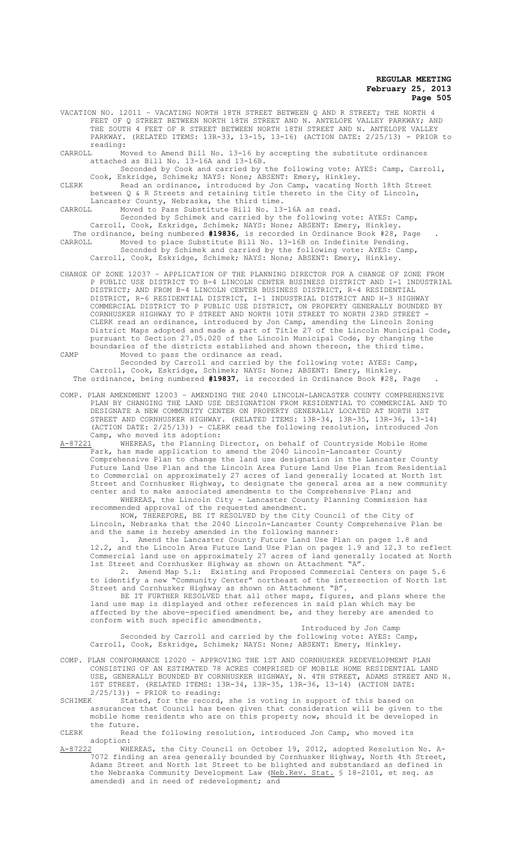VACATION NO. 12011 – VACATING NORTH 18TH STREET BETWEEN Q AND R STREET; THE NORTH 4 FEET OF Q STREET BETWEEN NORTH 18TH STREET AND N. ANTELOPE VALLEY PARKWAY; AND THE SOUTH 4 FEET OF R STREET BETWEEN NORTH 18TH STREET AND N. ANTELOPE VALLEY PARKWAY. (RELATED ITEMS: 13R-33, 13-15, 13-16) (ACTION DATE: 2/25/13) - PRIOR to

reading:<br>CARROLL M y.<br>Moved to Amend Bill No. 13-16 by accepting the substitute ordinances attached as Bill No. 13-16A and 13-16B.

Seconded by Cook and carried by the following vote: AYES: Camp, Carroll, Cook, Eskridge, Schimek; NAYS: None; ABSENT: Emery, Hinkley.

CLERK Read an ordinance, introduced by Jon Camp, vacating North 18th Street between Q & R Streets and retaining title thereto in the City of Lincoln, Lancaster County, Nebraska, the third time.

CARROLL Moved to Pass Substitute Bill No. 13-16A as read.

Seconded by Schimek and carried by the following vote: AYES: Camp, Carroll, Cook, Eskridge, Schimek; NAYS: None; ABSENT: Emery, Hinkley. The ordinance, being numbered **#19836**, is recorded in Ordinance Book #28, Page .

CARROLL Moved to place Substitute Bill No. 13-16B on Indefinite Pending. Seconded by Schimek and carried by the following vote: AYES: Camp, Carroll, Cook, Eskridge, Schimek; NAYS: None; ABSENT: Emery, Hinkley.

CHANGE OF ZONE 12037 – APPLICATION OF THE PLANNING DIRECTOR FOR A CHANGE OF ZONE FROM P PUBLIC USE DISTRICT TO B-4 LINCOLN CENTER BUSINESS DISTRICT AND I-1 INDUSTRIAL DISTRICT; AND FROM B-4 LINCOLN CENTER BUSINESS DISTRICT, R-4 RESIDENTIAL DISTRICT, R-6 RESIDENTIAL DISTRICT, I-1 INDUSTRIAL DISTRICT AND H-3 HIGHWAY COMMERCIAL DISTRICT TO P PUBLIC USE DISTRICT, ON PROPERTY GENERALLY BOUNDED BY CORNHUSKER HIGHWAY TO P STREET AND NORTH 10TH STREET TO NORTH 23RD STREET - CLERK read an ordinance, introduced by Jon Camp, amending the Lincoln Zoning District Maps adopted and made a part of Title 27 of the Lincoln Municipal Code, pursuant to Section 27.05.020 of the Lincoln Municipal Code, by changing the boundaries of the districts established and shown thereon, the third time. CAMP Moved to pass the ordinance as read.

Seconded by Carroll and carried by the following vote: AYES: Camp, Carroll, Cook, Eskridge, Schimek; NAYS: None; ABSENT: Emery, Hinkley. The ordinance, being numbered **#19837**, is recorded in Ordinance Book #28, Page .

COMP. PLAN AMENDMENT 12003 – AMENDING THE 2040 LINCOLN-LANCASTER COUNTY COMPREHENSIVE PLAN BY CHANGING THE LAND USE DESIGNATION FROM RESIDENTIAL TO COMMERCIAL AND TO DESIGNATE A NEW COMMUNITY CENTER ON PROPERTY GENERALLY LOCATED AT NORTH 1ST STREET AND CORNHUSKER HIGHWAY. (RELATED ITEMS: 13R-34, 13R-35, 13R-36, 13-14) (ACTION DATE: 2/25/13)) - CLERK read the following resolution, introduced Jon Camp, who moved its adoption:

A-87221 WHEREAS, the Planning Director, on behalf of Countryside Mobile Home Park, has made application to amend the 2040 Lincoln-Lancaster County Comprehensive Plan to change the land use designation in the Lancaster County Future Land Use Plan and the Lincoln Area Future Land Use Plan from Residential to Commercial on approximately 27 acres of land generally located at North 1st Street and Cornhusker Highway, to designate the general area as a new community center and to make associated amendments to the Comprehensive Plan; and WHEREAS, the Lincoln City - Lancaster County Planning Commission has recommended approval of the requested amendment.

NOW, THEREFORE, BE IT RESOLVED by the City Council of the City of Lincoln, Nebraska that the 2040 Lincoln-Lancaster County Comprehensive Plan be and the same is hereby amended in the following manner:

Amend the Lancaster County Future Land Use Plan on pages 1.8 and 12.2, and the Lincoln Area Future Land Use Plan on pages 1.9 and 12.3 to reflect Commercial land use on approximately 27 acres of land generally located at North 1st Street and Cornhusker Highway as shown on Attachment "A".

2. Amend Map 5.1: Existing and Proposed Commercial Centers on page 5.6 to identify a new "Community Center" northeast of the intersection of North 1st Street and Cornhusker Highway as shown on Attachment "B".

BE IT FURTHER RESOLVED that all other maps, figures, and plans where the land use map is displayed and other references in said plan which may be affected by the above-specified amendment be, and they hereby are amended to conform with such specific amendments. Introduced by Jon Camp

Seconded by Carroll and carried by the following vote: AYES: Camp, Carroll, Cook, Eskridge, Schimek; NAYS: None; ABSENT: Emery, Hinkley.

COMP. PLAN CONFORMANCE 12020 – APPROVING THE 1ST AND CORNHUSKER REDEVELOPMENT PLAN CONSISTING OF AN ESTIMATED 78 ACRES COMPRISED OF MOBILE HOME RESIDENTIAL LAND USE, GENERALLY BOUNDED BY CORNHUSKER HIGHWAY, N. 4TH STREET, ADAMS STREET AND N. 1ST STREET. (RELATED ITEMS: 13R-34, 13R-35, 13R-36, 13-14) (ACTION DATE:  $2/25/13$ ) - PRIOR to reading:

SCHIMEK Stated, for the record, she is voting in support of this based on assurances that Council has been given that consideration will be given to the mobile home residents who are on this property now, should it be developed in the future.

CLERK Read the following resolution, introduced Jon Camp, who moved its adoption:

A-87222 WHEREAS, the City Council on October 19, 2012, adopted Resolution No. A-7072 finding an area generally bounded by Cornhusker Highway, North 4th Street, Adams Street and North 1st Street to be blighted and substandard as defined in the Nebraska Community Development Law (Neb.Rev. Stat. § 18-2101, et seq. as amended) and in need of redevelopment; and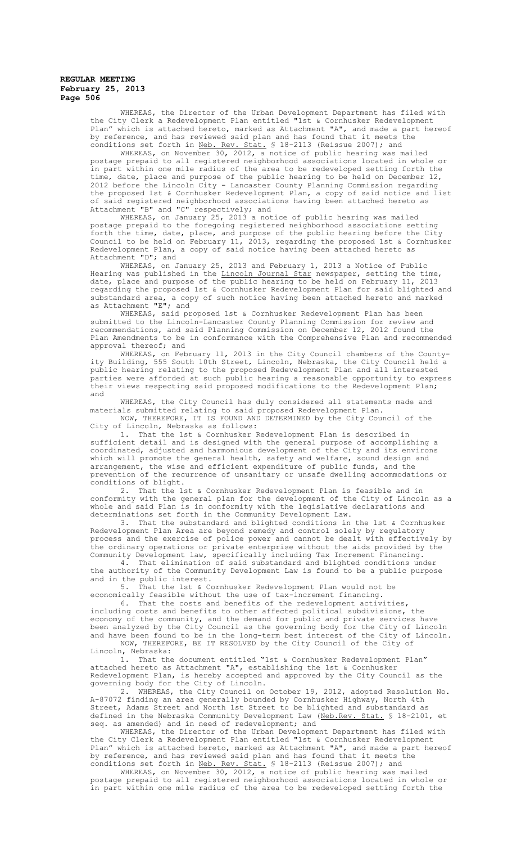WHEREAS, the Director of the Urban Development Department has filed with the City Clerk a Redevelopment Plan entitled "1st & Cornhusker Redevelopment Plan" which is attached hereto, marked as Attachment "A", and made a part hereof by reference, and has reviewed said plan and has found that it meets the conditions set forth in Neb. Rev. Stat. § 18-2113 (Reissue 2007); and

WHEREAS, on November 30, 2012, a notice of public hearing was mailed postage prepaid to all registered neighborhood associations located in whole or in part within one mile radius of the area to be redeveloped setting forth the time, date, place and purpose of the public hearing to be held on December 12, 2012 before the Lincoln City - Lancaster County Planning Commission regarding the proposed 1st & Cornhusker Redevelopment Plan, a copy of said notice and list of said registered neighborhood associations having been attached hereto as Attachment "B" and "C" respectively; and

WHEREAS, on January 25, 2013 a notice of public hearing was mailed postage prepaid to the foregoing registered neighborhood associations setting forth the time, date, place, and purpose of the public hearing before the City Council to be held on February 11, 2013, regarding the proposed 1st & Cornhusker Redevelopment Plan, a copy of said notice having been attached hereto as Attachment "D"; and

WHEREAS, on January 25, 2013 and February 1, 2013 a Notice of Public Hearing was published in the Lincoln Journal Star newspaper, setting the time, date, place and purpose of the public hearing to be held on February 11, 2013 regarding the proposed 1st & Cornhusker Redevelopment Plan for said blighted and substandard area, a copy of such notice having been attached hereto and marked as Attachment "E"; and

WHEREAS, said proposed 1st & Cornhusker Redevelopment Plan has been submitted to the Lincoln-Lancaster County Planning Commission for review and recommendations, and said Planning Commission on December 12, 2012 found the Plan Amendments to be in conformance with the Comprehensive Plan and recommended approval thereof; and

WHEREAS, on February 11, 2013 in the City Council chambers of the Countyity Building, 555 South 10th Street, Lincoln, Nebraska, the City Council held a public hearing relating to the proposed Redevelopment Plan and all interested parties were afforded at such public hearing a reasonable opportunity to express their views respecting said proposed modifications to the Redevelopment Plan; and

WHEREAS, the City Council has duly considered all statements made and materials submitted relating to said proposed Redevelopment Plan.

NOW, THEREFORE, IT IS FOUND AND DETERMINED by the City Council of the City of Lincoln, Nebraska as follows:

1. That the 1st & Cornhusker Redevelopment Plan is described in sufficient detail and is designed with the general purpose of accomplishing a coordinated, adjusted and harmonious development of the City and its environs which will promote the general health, safety and welfare, sound design and arrangement, the wise and efficient expenditure of public funds, and the prevention of the recurrence of unsanitary or unsafe dwelling accommodations or conditions of blight.

2. That the 1st & Cornhusker Redevelopment Plan is feasible and in conformity with the general plan for the development of the City of Lincoln as a whole and said Plan is in conformity with the legislative declarations and determinations set forth in the Community Development Law.

3. That the substandard and blighted conditions in the 1st & Cornhusker Redevelopment Plan Area are beyond remedy and control solely by regulatory process and the exercise of police power and cannot be dealt with effectively by the ordinary operations or private enterprise without the aids provided by the Community Development law, specifically including Tax Increment Financing.

4. That elimination of said substandard and blighted conditions under the authority of the Community Development Law is found to be a public purpose and in the public interest.<br>5. That the 1st  $\&$  Co

That the 1st & Cornhusker Redevelopment Plan would not be economically feasible without the use of tax-increment financing.

6. That the costs and benefits of the redevelopment activities, including costs and benefits to other affected political subdivisions, the economy of the community, and the demand for public and private services have been analyzed by the City Council as the governing body for the City of Lincoln and have been found to be in the long-term best interest of the City of Lincoln.

NOW, THEREFORE, BE IT RESOLVED by the City Council of the City of Lincoln, Nebraska:

1. That the document entitled "1st & Cornhusker Redevelopment Plan" attached hereto as Attachment "A", establishing the 1st & Cornhusker Redevelopment Plan, is hereby accepted and approved by the City Council as the governing body for the City of Lincoln.

2. WHEREAS, the City Council on October 19, 2012, adopted Resolution No. A-87072 finding an area generally bounded by Cornhusker Highway, North 4th Street, Adams Street and North 1st Street to be blighted and substandard as defined in the Nebraska Community Development Law (Neb.Rev. Stat. § 18-2101, et seq. as amended) and in need of redevelopment; and

WHEREAS, the Director of the Urban Development Department has filed with the City Clerk a Redevelopment Plan entitled "1st & Cornhusker Redevelopment Plan" which is attached hereto, marked as Attachment "A", and made a part hereof by reference, and has reviewed said plan and has found that it meets the conditions set forth in Neb. Rev. Stat. § 18-2113 (Reissue 2007); and

WHEREAS, on November 30, 2012, a notice of public hearing was mailed postage prepaid to all registered neighborhood associations located in whole or in part within one mile radius of the area to be redeveloped setting forth the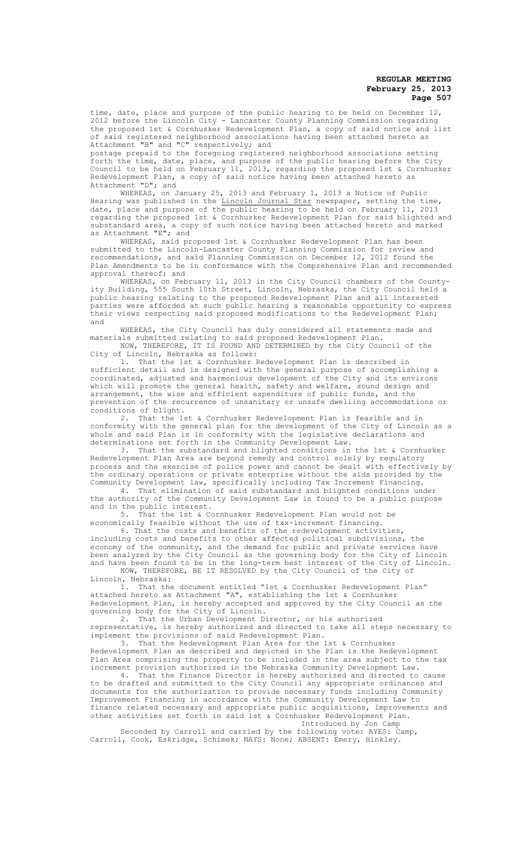time, date, place and purpose of the public hearing to be held on December 12, 2012 before the Lincoln City - Lancaster County Planning Commission regarding the proposed 1st & Cornhusker Redevelopment Plan, a copy of said notice and list of said registered neighborhood associations having been attached hereto as Attachment "B" and "C" respectively; and

postage prepaid to the foregoing registered neighborhood associations setting forth the time, date, place, and purpose of the public hearing before the City Council to be held on February 11, 2013, regarding the proposed 1st & Cornhusker Redevelopment Plan, a copy of said notice having been attached hereto as Attachment "D"; and

WHEREAS, on January 25, 2013 and February 1, 2013 a Notice of Public Hearing was published in the Lincoln Journal Star newspaper, setting the time, date, place and purpose of the public hearing to be held on February 11, 2013 regarding the proposed 1st & Cornhusker Redevelopment Plan for said blighted and substandard area, a copy of such notice having been attached hereto and marked as Attachment "E"; and

WHEREAS, said proposed 1st & Cornhusker Redevelopment Plan has been submitted to the Lincoln-Lancaster County Planning Commission for review and recommendations, and said Planning Commission on December 12, 2012 found the Plan Amendments to be in conformance with the Comprehensive Plan and recommended approval thereof; and

WHEREAS, on February 11, 2013 in the City Council chambers of the Countyity Building, 555 South 10th Street, Lincoln, Nebraska, the City Council held a public hearing relating to the proposed Redevelopment Plan and all interested parties were afforded at such public hearing a reasonable opportunity to express their views respecting said proposed modifications to the Redevelopment Plan; and

WHEREAS, the City Council has duly considered all statements made and materials submitted relating to said proposed Redevelopment Plan.

NOW, THEREFORE, IT IS FOUND AND DETERMINED by the City Council of the City of Lincoln, Nebraska as follows:

1. That the 1st & Cornhusker Redevelopment Plan is described in sufficient detail and is designed with the general purpose of accomplishing a coordinated, adjusted and harmonious development of the City and its environs which will promote the general health, safety and welfare, sound design and arrangement, the wise and efficient expenditure of public funds, and the prevention of the recurrence of unsanitary or unsafe dwelling accommodations or conditions of blight.

2. That the 1st & Cornhusker Redevelopment Plan is feasible and in conformity with the general plan for the development of the City of Lincoln as a whole and said Plan is in conformity with the legislative declarations and determinations set forth in the Community Development Law.

3. That the substandard and blighted conditions in the 1st & Cornhusker Redevelopment Plan Area are beyond remedy and control solely by regulatory process and the exercise of police power and cannot be dealt with effectively by the ordinary operations or private enterprise without the aids provided by the Community Development law, specifically including Tax Increment Financing.

4. That elimination of said substandard and blighted conditions under the authority of the Community Development Law is found to be a public purpose and in the public interest.

5. That the 1st & Cornhusker Redevelopment Plan would not be ence is that the 1st & Cornhusker Redevelopment Plan would not economically feasible without the use of tax-increment financing.

6. That the costs and benefits of the redevelopment activities, including costs and benefits to other affected political subdivisions, the economy of the community, and the demand for public and private services have been analyzed by the City Council as the governing body for the City of Lincoln and have been found to be in the long-term best interest of the City of Lincoln.

NOW, THEREFORE, BE IT RESOLVED by the City Council of the City of Lincoln, Nebraska:

1. That the document entitled "1st & Cornhusker Redevelopment Plan" attached hereto as Attachment "A", establishing the 1st & Cornhusker Redevelopment Plan, is hereby accepted and approved by the City Council as the governing body for the City of Lincoln.

2. That the Urban Development Director, or his authorized representative, is hereby authorized and directed to take all steps necessary to implement the provisions of said Redevelopment Plan.

3. That the Redevelopment Plan Area for the 1st & Cornhusker Redevelopment Plan as described and depicted in the Plan is the Redevelopment Plan Area comprising the property to be included in the area subject to the tax increment provision authorized in the Nebraska Community Development Law.

4. That the Finance Director is hereby authorized and directed to cause to be drafted and submitted to the City Council any appropriate ordinances and documents for the authorization to provide necessary funds including Community Improvement Financing in accordance with the Community Development Law to finance related necessary and appropriate public acquisitions, improvements and other activities set forth in said 1st & Cornhusker Redevelopment Plan. Introduced by Jon Camp

Seconded by Carroll and carried by the following vote: AYES: Camp, Carroll, Cook, Eskridge, Schimek; NAYS: None; ABSENT: Emery, Hinkley.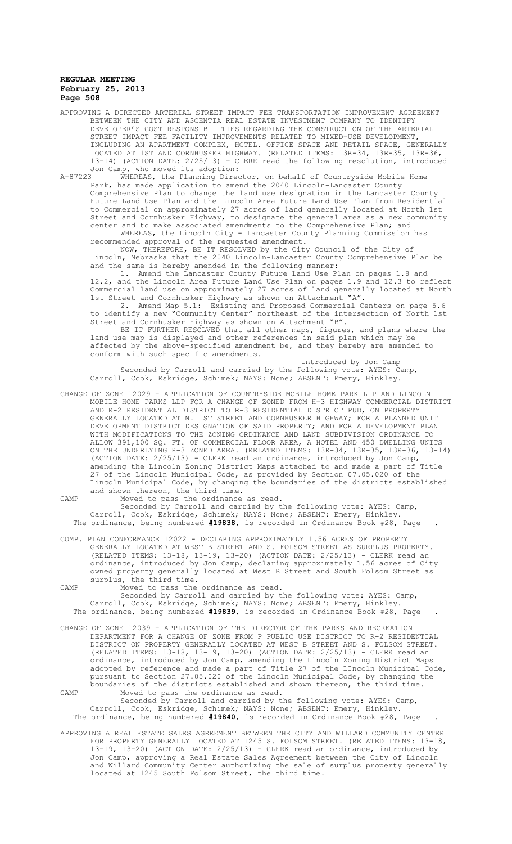APPROVING A DIRECTED ARTERIAL STREET IMPACT FEE TRANSPORTATION IMPROVEMENT AGREEMENT BETWEEN THE CITY AND ASCENTIA REAL ESTATE INVESTMENT COMPANY TO IDENTIFY DEVELOPER'S COST RESPONSIBILITIES REGARDING THE CONSTRUCTION OF THE ARTERIAL STREET IMPACT FEE FACILITY IMPROVEMENTS RELATED TO MIXED-USE DEVELOPMENT, INCLUDING AN APARTMENT COMPLEX, HOTEL, OFFICE SPACE AND RETAIL SPACE, GENERALLY LOCATED AT 1ST AND CORNHUSKER HIGHWAY. (RELATED ITEMS: 13R-34, 13R-35, 13R-36, 13-14) (ACTION DATE: 2/25/13) - CLERK read the following resolution, introduced

Jon Camp, who moved its adoption:<br>A-87223 WHEREAS, the Planning Direc whereas, the Planning Director, on behalf of Countryside Mobile Home Park, has made application to amend the 2040 Lincoln-Lancaster County Comprehensive Plan to change the land use designation in the Lancaster County Future Land Use Plan and the Lincoln Area Future Land Use Plan from Residential to Commercial on approximately 27 acres of land generally located at North 1st Street and Cornhusker Highway, to designate the general area as a new community center and to make associated amendments to the Comprehensive Plan; and WHEREAS, the Lincoln City - Lancaster County Planning Commission has recommended approval of the requested amendment.

NOW, THEREFORE, BE IT RESOLVED by the City Council of the City of Lincoln, Nebraska that the 2040 Lincoln-Lancaster County Comprehensive Plan be and the same is hereby amended in the following manner:

1. Amend the Lancaster County Future Land Use Plan on pages 1.8 and 12.2, and the Lincoln Area Future Land Use Plan on pages 1.9 and 12.3 to reflect Commercial land use on approximately 27 acres of land generally located at North 1st Street and Cornhusker Highway as shown on Attachment "A".

2. Amend Map 5.1: Existing and Proposed Commercial Centers on page 5.6 to identify a new "Community Center" northeast of the intersection of North 1st Street and Cornhusker Highway as shown on Attachment "B".

BE IT FURTHER RESOLVED that all other maps, figures, and plans where the land use map is displayed and other references in said plan which may be affected by the above-specified amendment be, and they hereby are amended to conform with such specific amendments.

Introduced by Jon Camp Seconded by Carroll and carried by the following vote: AYES: Camp, Carroll, Cook, Eskridge, Schimek; NAYS: None; ABSENT: Emery, Hinkley.

- CHANGE OF ZONE 12029 APPLICATION OF COUNTRYSIDE MOBILE HOME PARK LLP AND LINCOLN MOBILE HOME PARKS LLP FOR A CHANGE OF ZONED FROM H-3 HIGHWAY COMMERCIAL DISTRICT AND R-2 RESIDENTIAL DISTRICT TO R-3 RESIDENTIAL DISTRICT PUD, ON PROPERTY GENERALLY LOCATED AT N. 1ST STREET AND CORNHUSKER HIGHWAY; FOR A PLANNED UNIT DEVELOPMENT DISTRICT DESIGNATION OF SAID PROPERTY; AND FOR A DEVELOPMENT PLAN WITH MODIFICATIONS TO THE ZONING ORDINANCE AND LAND SUBDIVISION ORDINANCE TO ALLOW 391,100 SQ. FT. OF COMMERCIAL FLOOR AREA, A HOTEL AND 450 DWELLING UNITS ON THE UNDERLYING R-3 ZONED AREA. (RELATED ITEMS: 13R-34, 13R-35, 13R-36, 13-14) (ACTION DATE: 2/25/13) - CLERK read an ordinance, introduced by Jon Camp,<br>amending the Lincoln Zoning District Maps attached to and made a part of Title amending the Lincoln Zoning District Maps attached to and made a part of Title 27 of the Lincoln Municipal Code, as provided by Section 07.05.020 of the Lincoln Municipal Code, by changing the boundaries of the districts established and shown thereon, the third time.
- 

CAMP Moved to pass the ordinance as read.

Seconded by Carroll and carried by the following vote: AYES: Camp, Carroll, Cook, Eskridge, Schimek; NAYS: None; ABSENT: Emery, Hinkley. The ordinance, being numbered **#19838**, is recorded in Ordinance Book #28, Page .

COMP. PLAN CONFORMANCE 12022 - DECLARING APPROXIMATELY 1.56 ACRES OF PROPERTY GENERALLY LOCATED AT WEST B STREET AND S. FOLSOM STREET AS SURPLUS PROPERTY. (RELATED ITEMS: 13-18, 13-19, 13-20) (ACTION DATE: 2/25/13) - CLERK read an ordinance, introduced by Jon Camp, declaring approximately 1.56 acres of City owned property generally located at West B Street and South Folsom Street as surplus, the third time.

CAMP Moved to pass the ordinance as read.

Seconded by Carroll and carried by the following vote: AYES: Camp, Carroll, Cook, Eskridge, Schimek; NAYS: None; ABSENT: Emery, Hinkley. The ordinance, being numbered **#19839**, is recorded in Ordinance Book #28, Page .

CHANGE OF ZONE 12039 – APPLICATION OF THE DIRECTOR OF THE PARKS AND RECREATION DEPARTMENT FOR A CHANGE OF ZONE FROM P PUBLIC USE DISTRICT TO R-2 RESIDENTIAL DISTRICT ON PROPERTY GENERALLY LOCATED AT WEST B STREET AND S. FOLSOM STREET. (RELATED ITEMS: 13-18, 13-19, 13-20) (ACTION DATE: 2/25/13) - CLERK read an ordinance, introduced by Jon Camp, amending the Lincoln Zoning District Maps adopted by reference and made a part of Title 27 of the LIncoln Municipal Code, pursuant to Section 27.05.020 of the Lincoln Municipal Code, by changing the boundaries of the districts established and shown thereon, the third time. CAMP Moved to pass the ordinance as read.

Seconded by Carroll and carried by the following vote: AYES: Camp, Carroll, Cook, Eskridge, Schimek; NAYS: None; ABSENT: Emery, Hinkley. The ordinance, being numbered **#19840**, is recorded in Ordinance Book #28, Page .

APPROVING A REAL ESTATE SALES AGREEMENT BETWEEN THE CITY AND WILLARD COMMUNITY CENTER FOR PROPERTY GENERALLY LOCATED AT 1245 S. FOLSOM STREET. (RELATED ITEMS: 13-18, 13-19, 13-20) (ACTION DATE: 2/25/13) - CLERK read an ordinance, introduced by Jon Camp, approving a Real Estate Sales Agreement between the City of Lincoln and Willard Community Center authorizing the sale of surplus property generally located at 1245 South Folsom Street, the third time.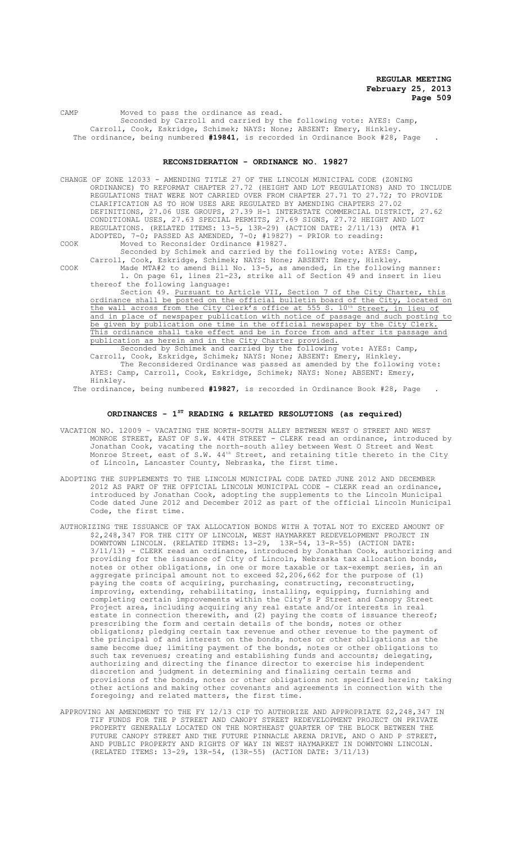CAMP Moved to pass the ordinance as read. Seconded by Carroll and carried by the following vote: AYES: Camp, Carroll, Cook, Eskridge, Schimek; NAYS: None; ABSENT: Emery, Hinkley. The ordinance, being numbered **#19841**, is recorded in Ordinance Book #28, Page .

# **RECONSIDERATION - ORDINANCE NO. 19827**

CHANGE OF ZONE 12033 - AMENDING TITLE 27 OF THE LINCOLN MUNICIPAL CODE (ZONING ORDINANCE) TO REFORMAT CHAPTER 27.72 (HEIGHT AND LOT REGULATIONS) AND TO INCLUDE REGULATIONS THAT WERE NOT CARRIED OVER FROM CHAPTER 27.71 TO 27.72; TO PROVIDE CLARIFICATION AS TO HOW USES ARE REGULATED BY AMENDING CHAPTERS 27.02 DEFINITIONS, 27.06 USE GROUPS, 27.39 H-1 INTERSTATE COMMERCIAL DISTRICT, 27.62 CONDITIONAL USES, 27.63 SPECIAL PERMITS, 27.69 SIGNS, 27.72 HEIGHT AND LOT REGULATIONS. (RELATED ITEMS: 13-5, 13R-29) (ACTION DATE: 2/11/13) (MTA #1 ADOPTED, 7-0; PASSED AS AMENDED, 7-0; #19827) - PRIOR to reading:

COOK Moved to Reconsider Ordinance #19827.

Seconded by Schimek and carried by the following vote: AYES: Camp, Carroll, Cook, Eskridge, Schimek; NAYS: None; ABSENT: Emery, Hinkley.

COOK Made MTA#2 to amend Bill No. 13-5, as amended, in the following manner: 1. On page 61, lines 21-23, strike all of Section 49 and insert in lieu thereof the following language:

Section 49. Pursuant to Article VII, Section 7 of the City Charter, this ordinance shall be posted on the official bulletin board of the City, located on the wall across from the City Clerk's office at 555 S. 10<sup>th</sup> Street, in lieu of and in place of newspaper publication with notice of passage and such posting to be given by publication one time in the official newspaper by the City Clerk. This ordinance shall take effect and be in force from and after its passage and publication as herein and in the City Charter provided.<br>Seconded by Schimek and carried by the following vote: AYES: Camp,

Seconded by Schimek and carried by the following vote: AYES: Camp, Carroll, Cook, Eskridge, Schimek; NAYS: None; ABSENT: Emery, Hinkley. The Reconsidered Ordinance was passed as amended by the following vote: AYES: Camp, Carroll, Cook, Eskridge, Schimek; NAYS: None; ABSENT: Emery, Hinkley.

The ordinance, being numbered **#19827**, is recorded in Ordinance Book #28, Page .

# **ORDINANCES - 1ST READING & RELATED RESOLUTIONS (as required)**

- VACATION NO. 12009 VACATING THE NORTH-SOUTH ALLEY BETWEEN WEST O STREET AND WEST MONROE STREET, EAST OF S.W. 44TH STREET - CLERK read an ordinance, introduced by Jonathan Cook, vacating the north-south alley between West O Street and West Monroe Street, east of S.W.  $44^{\text{th}}$  Street, and retaining title thereto in the City of Lincoln, Lancaster County, Nebraska, the first time.
- ADOPTING THE SUPPLEMENTS TO THE LINCOLN MUNICIPAL CODE DATED JUNE 2012 AND DECEMBER 2012 AS PART OF THE OFFICIAL LINCOLN MUNICIPAL CODE - CLERK read an ordinance, introduced by Jonathan Cook, adopting the supplements to the Lincoln Municipal Code dated June 2012 and December 2012 as part of the official Lincoln Municipal Code, the first time.
- AUTHORIZING THE ISSUANCE OF TAX ALLOCATION BONDS WITH A TOTAL NOT TO EXCEED AMOUNT OF \$2,248,347 FOR THE CITY OF LINCOLN, WEST HAYMARKET REDEVELOPMENT PROJECT IN DOWNTOWN LINCOLN. (RELATED ITEMS: 13-29, 13R-54, 13-R-55) (ACTION DATE: 3/11/13) - CLERK read an ordinance, introduced by Jonathan Cook, authorizing and providing for the issuance of City of Lincoln, Nebraska tax allocation bonds, notes or other obligations, in one or more taxable or tax-exempt series, in an aggregate principal amount not to exceed \$2,206,662 for the purpose of (1) paying the costs of acquiring, purchasing, constructing, reconstructing, improving, extending, rehabilitating, installing, equipping, furnishing and completing certain improvements within the City's P Street and Canopy Street Project area, including acquiring any real estate and/or interests in real estate in connection therewith, and (2) paying the costs of issuance thereof; prescribing the form and certain details of the bonds, notes or other obligations; pledging certain tax revenue and other revenue to the payment of the principal of and interest on the bonds, notes or other obligations as the same become due; limiting payment of the bonds, notes or other obligations to such tax revenues; creating and establishing funds and accounts; delegating, authorizing and directing the finance director to exercise his independent discretion and judgment in determining and finalizing certain terms and provisions of the bonds, notes or other obligations not specified herein; taking other actions and making other covenants and agreements in connection with the foregoing; and related matters, the first time.
- APPROVING AN AMENDMENT TO THE FY 12/13 CIP TO AUTHORIZE AND APPROPRIATE \$2,248,347 IN TIF FUNDS FOR THE P STREET AND CANOPY STREET REDEVELOPMENT PROJECT ON PRIVATE PROPERTY GENERALLY LOCATED ON THE NORTHEAST QUARTER OF THE BLOCK BETWEEN THE FUTURE CANOPY STREET AND THE FUTURE PINNACLE ARENA DRIVE, AND O AND P STREET, AND PUBLIC PROPERTY AND RIGHTS OF WAY IN WEST HAYMARKET IN DOWNTOWN LINCOLN. (RELATED ITEMS: 13-29, 13R-54, (13R-55) (ACTION DATE: 3/11/13)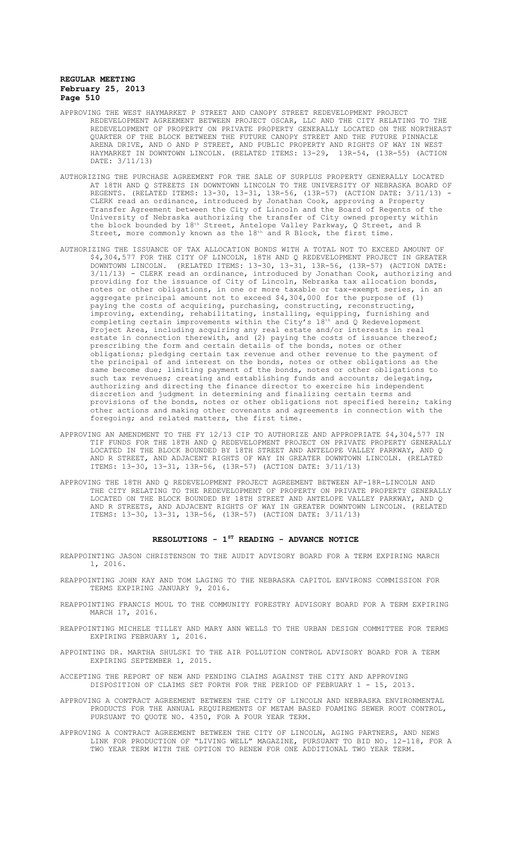- APPROVING THE WEST HAYMARKET P STREET AND CANOPY STREET REDEVELOPMENT PROJECT REDEVELOPMENT AGREEMENT BETWEEN PROJECT OSCAR, LLC AND THE CITY RELATING TO THE REDEVELOPMENT OF PROPERTY ON PRIVATE PROPERTY GENERALLY LOCATED ON THE NORTHEAST QUARTER OF THE BLOCK BETWEEN THE FUTURE CANOPY STREET AND THE FUTURE PINNACLE ARENA DRIVE, AND O AND P STREET, AND PUBLIC PROPERTY AND RIGHTS OF WAY IN WEST HAYMARKET IN DOWNTOWN LINCOLN. (RELATED ITEMS: 13-29, 13R-54, (13R-55) (ACTION DATE: 3/11/13)
- AUTHORIZING THE PURCHASE AGREEMENT FOR THE SALE OF SURPLUS PROPERTY GENERALLY LOCATED AT 18TH AND Q STREETS IN DOWNTOWN LINCOLN TO THE UNIVERSITY OF NEBRASKA BOARD OF REGENTS. (RELATED ITEMS: 13-30, 13-31, 13R-56, (13R-57) (ACTION DATE: 3/11/13) - CLERK read an ordinance, introduced by Jonathan Cook, approving a Property Transfer Agreement between the City of Lincoln and the Board of Regents of the University of Nebraska authorizing the transfer of City owned property within the block bounded by  $18^{\text{th}}$  Street, Antelope Valley Parkway, Q Street, and R Street, more commonly known as the  $18<sup>th</sup>$  and R Block, the first time.
- AUTHORIZING THE ISSUANCE OF TAX ALLOCATION BONDS WITH A TOTAL NOT TO EXCEED AMOUNT OF \$4,304,577 FOR THE CITY OF LINCOLN, 18TH AND Q REDEVELOPMENT PROJECT IN GREATER DOWNTOWN LINCOLN. (RELATED ITEMS: 13-30, 13-31, 13R-56, (13R-57) (ACTION DATE: 3/11/13) - CLERK read an ordinance, introduced by Jonathan Cook, authorizing and providing for the issuance of City of Lincoln, Nebraska tax allocation bonds, notes or other obligations, in one or more taxable or tax-exempt series, in an aggregate principal amount not to exceed \$4,304,000 for the purpose of (1) paying the costs of acquiring, purchasing, constructing, reconstructing, improving, extending, rehabilitating, installing, equipping, furnishing and completing certain improvements within the City's 18th and Q Redevelopment Project Area, including acquiring any real estate and/or interests in real estate in connection therewith, and (2) paying the costs of issuance thereof; prescribing the form and certain details of the bonds, notes or other obligations; pledging certain tax revenue and other revenue to the payment of the principal of and interest on the bonds, notes or other obligations as the same become due; limiting payment of the bonds, notes or other obligations to such tax revenues; creating and establishing funds and accounts; delegating, authorizing and directing the finance director to exercise his independent discretion and judgment in determining and finalizing certain terms and provisions of the bonds, notes or other obligations not specified herein; taking other actions and making other covenants and agreements in connection with the foregoing; and related matters, the first time.
- APPROVING AN AMENDMENT TO THE FY 12/13 CIP TO AUTHORIZE AND APPROPRIATE \$4,304,577 IN TIF FUNDS FOR THE 18TH AND Q REDEVELOPMENT PROJECT ON PRIVATE PROPERTY GENERALLY LOCATED IN THE BLOCK BOUNDED BY 18TH STREET AND ANTELOPE VALLEY PARKWAY, AND Q AND R STREET, AND ADJACENT RIGHTS OF WAY IN GREATER DOWNTOWN LINCOLN. (RELATED ITEMS: 13-30, 13-31, 13R-56, (13R-57) (ACTION DATE: 3/11/13)
- APPROVING THE 18TH AND Q REDEVELOPMENT PROJECT AGREEMENT BETWEEN AF-18R-LINCOLN AND THE CITY RELATING TO THE REDEVELOPMENT OF PROPERTY ON PRIVATE PROPERTY GENERALLY LOCATED ON THE BLOCK BOUNDED BY 18TH STREET AND ANTELOPE VALLEY PARKWAY, AND Q AND R STREETS, AND ADJACENT RIGHTS OF WAY IN GREATER DOWNTOWN LINCOLN. (RELATED ITEMS: 13-30, 13-31, 13R-56, (13R-57) (ACTION DATE: 3/11/13)

#### **RESOLUTIONS - 1ST READING - ADVANCE NOTICE**

- REAPPOINTING JASON CHRISTENSON TO THE AUDIT ADVISORY BOARD FOR A TERM EXPIRING MARCH 1, 2016.
- REAPPOINTING JOHN KAY AND TOM LAGING TO THE NEBRASKA CAPITOL ENVIRONS COMMISSION FOR TERMS EXPIRING JANUARY 9, 2016.
- REAPPOINTING FRANCIS MOUL TO THE COMMUNITY FORESTRY ADVISORY BOARD FOR A TERM EXPIRING MARCH 17, 2016.
- REAPPOINTING MICHELE TILLEY AND MARY ANN WELLS TO THE URBAN DESIGN COMMITTEE FOR TERMS EXPIRING FEBRUARY 1, 2016.
- APPOINTING DR. MARTHA SHULSKI TO THE AIR POLLUTION CONTROL ADVISORY BOARD FOR A TERM EXPIRING SEPTEMBER 1, 2015.
- ACCEPTING THE REPORT OF NEW AND PENDING CLAIMS AGAINST THE CITY AND APPROVING DISPOSITION OF CLAIMS SET FORTH FOR THE PERIOD OF FEBRUARY 1 - 15, 2013.
- APPROVING A CONTRACT AGREEMENT BETWEEN THE CITY OF LINCOLN AND NEBRASKA ENVIRONMENTAL PRODUCTS FOR THE ANNUAL REQUIREMENTS OF METAM BASED FOAMING SEWER ROOT CONTROL, PURSUANT TO QUOTE NO. 4350, FOR A FOUR YEAR TERM.
- APPROVING A CONTRACT AGREEMENT BETWEEN THE CITY OF LINCOLN, AGING PARTNERS, AND NEWS LINK FOR PRODUCTION OF "LIVING WELL" MAGAZINE, PURSUANT TO BID NO. 12-118, FOR A TWO YEAR TERM WITH THE OPTION TO RENEW FOR ONE ADDITIONAL TWO YEAR TERM.